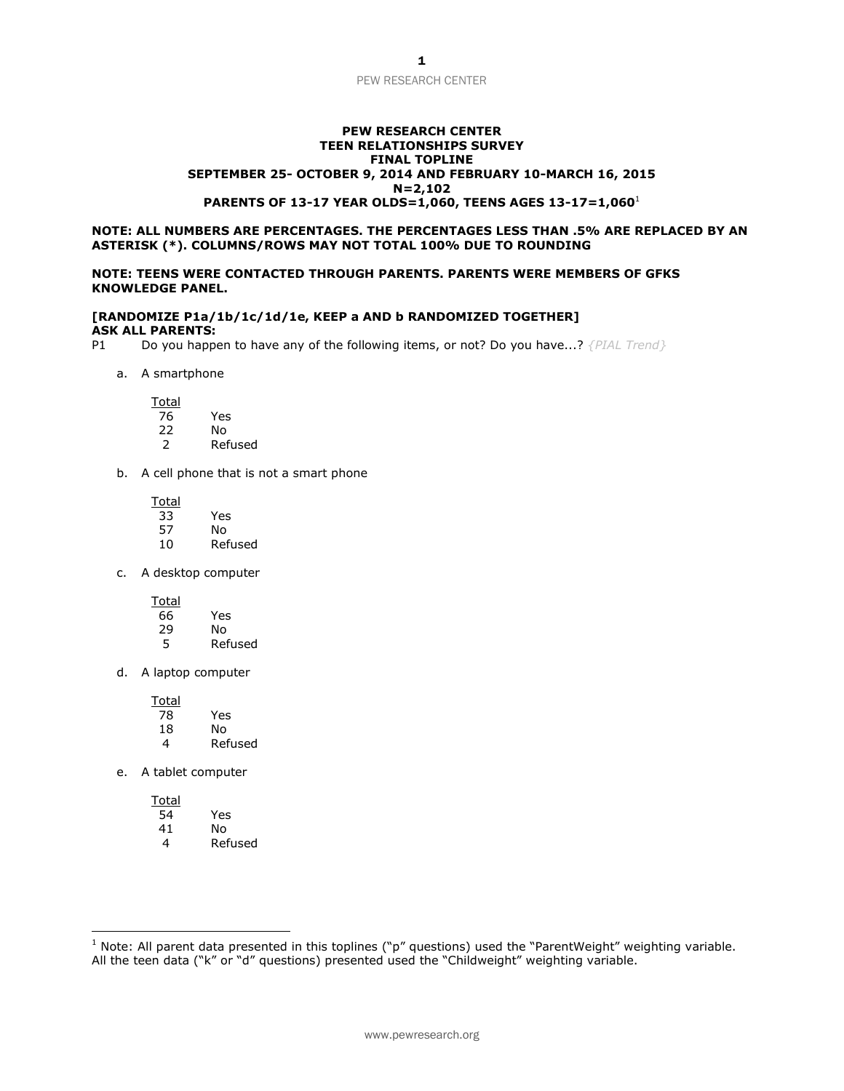#### **PEW RESEARCH CENTER TEEN RELATIONSHIPS SURVEY FINAL TOPLINE SEPTEMBER 25- OCTOBER 9, 2014 AND FEBRUARY 10-MARCH 16, 2015 N=2,102 PARENTS OF 13-17 YEAR OLDS=1,060, TEENS AGES 13-17=1,060**<sup>1</sup>

#### **NOTE: ALL NUMBERS ARE PERCENTAGES. THE PERCENTAGES LESS THAN .5% ARE REPLACED BY AN ASTERISK (\*). COLUMNS/ROWS MAY NOT TOTAL 100% DUE TO ROUNDING**

#### **NOTE: TEENS WERE CONTACTED THROUGH PARENTS. PARENTS WERE MEMBERS OF GFKS KNOWLEDGE PANEL.**

#### **[RANDOMIZE P1a/1b/1c/1d/1e, KEEP a AND b RANDOMIZED TOGETHER] ASK ALL PARENTS:**

P1 Do you happen to have any of the following items, or not? Do you have...? *{PIAL Trend}*

a. A smartphone

Total<br>76

- 76 Yes N<sub>o</sub>
- 2 Refused
- b. A cell phone that is not a smart phone

| Total |         |
|-------|---------|
| 33    | Yes     |
| 57    | N٥      |
| 10    | Refused |

c. A desktop computer

| Total |         |
|-------|---------|
| 66    | Yes     |
| 29    | N٥      |
| 5     | Refused |

d. A laptop computer

| Total |         |
|-------|---------|
| 78    | Yes     |
| 18    | N٥      |
| 4     | Refused |

e. A tablet computer

 $\overline{a}$ 

| Total |         |
|-------|---------|
| 54    | Yes     |
| 41    | No      |
| 4     | Refused |

<sup>&</sup>lt;sup>1</sup> Note: All parent data presented in this toplines ("p" questions) used the "ParentWeight" weighting variable. All the teen data ("k" or "d" questions) presented used the "Childweight" weighting variable.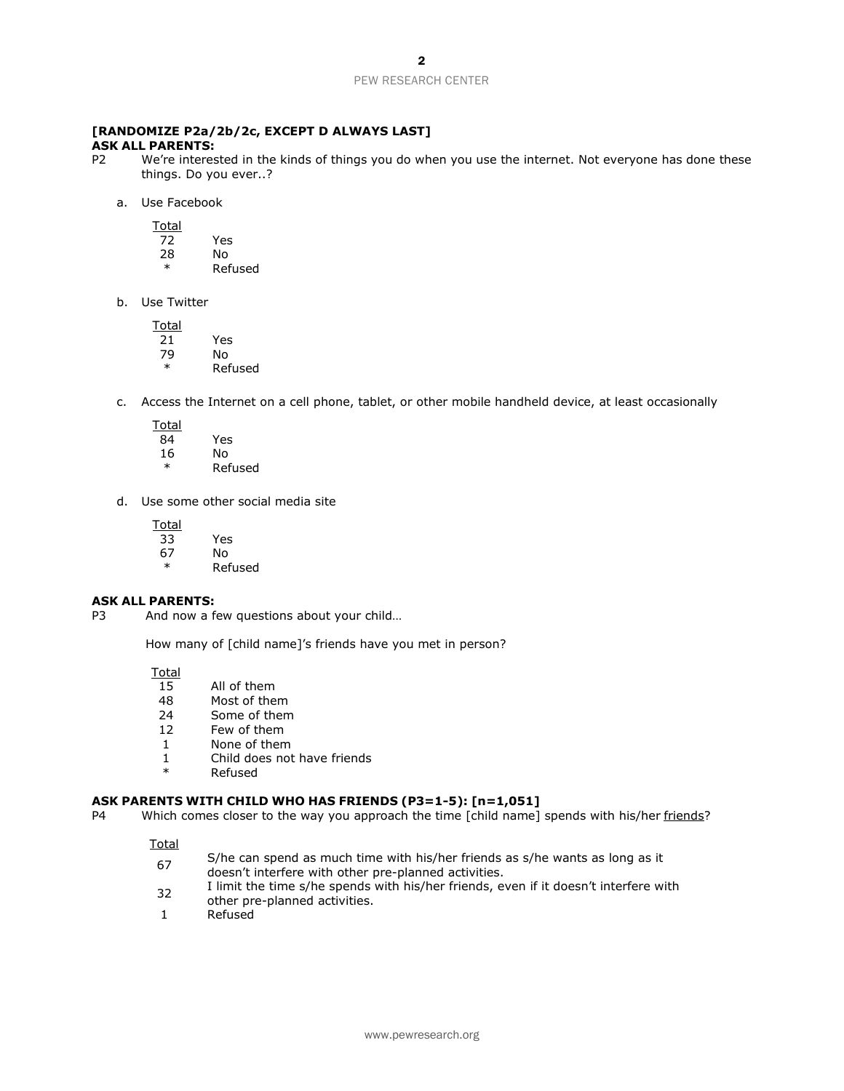# **[RANDOMIZE P2a/2b/2c, EXCEPT D ALWAYS LAST]**

#### **ASK ALL PARENTS:**

- P2 We're interested in the kinds of things you do when you use the internet. Not everyone has done these things. Do you ever..?
	- a. Use Facebook

Total

| 72 | Yes     |
|----|---------|
| 28 | N٥      |
| ж  | Refused |

b. Use Twitter

| Total  |         |
|--------|---------|
| 21     | Yes     |
| 79     | N٥      |
| $\ast$ | Refused |

- c. Access the Internet on a cell phone, tablet, or other mobile handheld device, at least occasionally
	- **Total**
	- 84 Yes No. **Refused**
- d. Use some other social media site

Yes

| Total |  |
|-------|--|
| 33    |  |
| 67    |  |

67 No \* Refused

#### **ASK ALL PARENTS:**

P3 And now a few questions about your child...

How many of [child name]'s friends have you met in person?

Total

- 15 All of them<br>48 Most of the
- 48 Most of them<br>24 Some of them
- Some of them
- 12 Few of them
- 1 None of them
- 1 Child does not have friends<br>\* Refused
- **Refused**

#### **ASK PARENTS WITH CHILD WHO HAS FRIENDS (P3=1-5): [n=1,051]**

P4 Which comes closer to the way you approach the time [child name] spends with his/her friends?

- $\overline{67}$  S/he can spend as much time with his/her friends as s/he wants as long as it doesn't interfere with other pre-planned activities.
- 32 I limit the time s/he spends with his/her friends, even if it doesn't interfere with other pre-planned activities.
- 1 Refused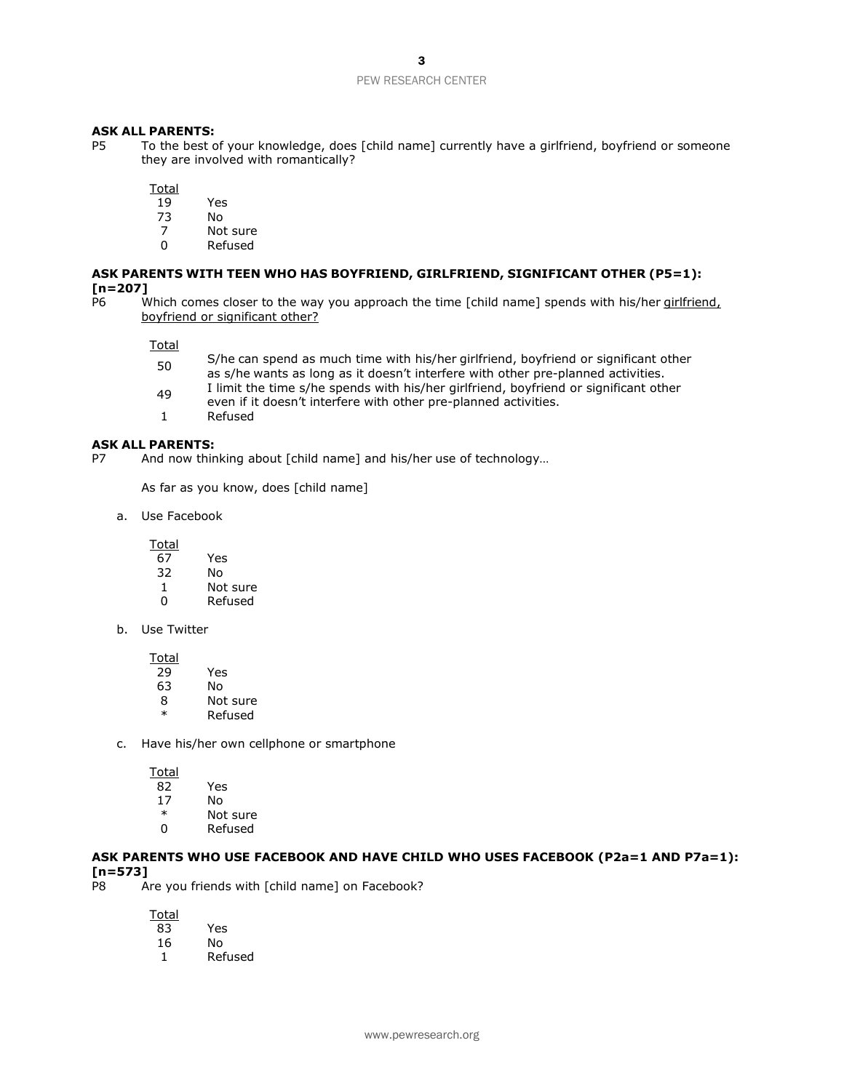#### **ASK ALL PARENTS:**

P5 To the best of your knowledge, does [child name] currently have a girlfriend, boyfriend or someone they are involved with romantically?

**Total** 

- 19 Yes
- 73 No
- Not sure
- 0 Refused

# **ASK PARENTS WITH TEEN WHO HAS BOYFRIEND, GIRLFRIEND, SIGNIFICANT OTHER (P5=1):**  $[n=207]$ <br>P6 W

Which comes closer to the way you approach the time [child name] spends with his/her *girlfriend*, boyfriend or significant other?

Total

- 50 S/he can spend as much time with his/her girlfriend, boyfriend or significant other as s/he wants as long as it doesn't interfere with other pre-planned activities.
- 1 I limit the time s/he spends with his/her girlfriend, boyfriend or significant other
- even if it doesn't interfere with other pre-planned activities.
- 1 Refused

#### **ASK ALL PARENTS:**

P7 And now thinking about [child name] and his/her use of technology…

As far as you know, does [child name]

a. Use Facebook

Total

- 67 Yes
- 32 No
- 1 Not sure
- 0 Refused
- b. Use Twitter

Total

- 29 Yes
- 63 No
- 8 Not sure<br>\* Refused
- **Refused**
- c. Have his/her own cellphone or smartphone

Total

- 82 Yes
- 17 No
- \* Not sure
- 0 Refused

#### **ASK PARENTS WHO USE FACEBOOK AND HAVE CHILD WHO USES FACEBOOK (P2a=1 AND P7a=1): [n=573]**

P8 Are you friends with [child name] on Facebook?

- 83 Yes
- 16 No
- 1 Refused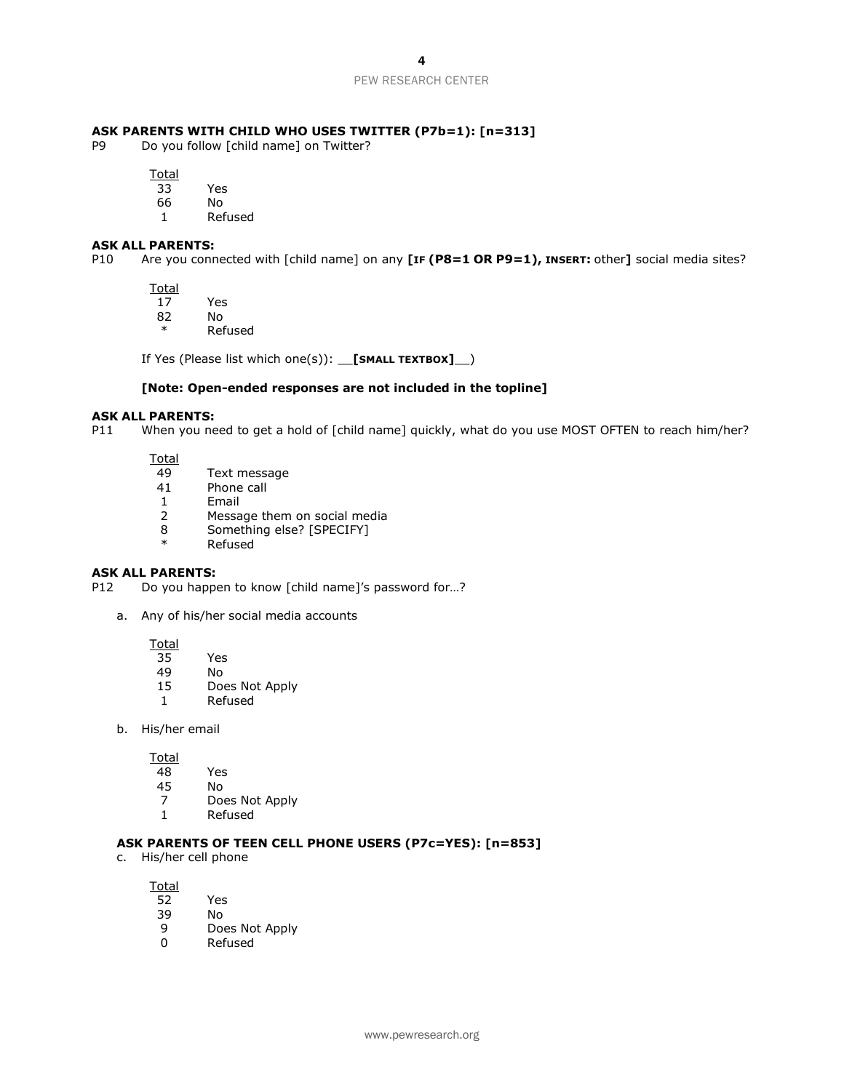#### **ASK PARENTS WITH CHILD WHO USES TWITTER (P7b=1): [n=313]**

P9 Do you follow [child name] on Twitter?

**Total** 

- 33 Yes
- 66 No
- 1 Refused

#### **ASK ALL PARENTS:**

P10 Are you connected with [child name] on any **[IF (P8=1 OR P9=1), INSERT:** other**]** social media sites?

Total<br>17

- 17 Yes
- 82 No
- \* Refused

If Yes (Please list which one(s)): \_\_**[SMALL TEXTBOX]**\_\_)

#### **[Note: Open-ended responses are not included in the topline]**

# **ASK ALL PARENTS:**

When you need to get a hold of [child name] quickly, what do you use MOST OFTEN to reach him/her?

Total

- 49 Text message
- 41 Phone call
- 1 Email
- 2 Message them on social media
- 8 Something else? [SPECIFY]
- **Refused**

#### **ASK ALL PARENTS:**

P12 Do you happen to know [child name]'s password for...?

a. Any of his/her social media accounts

Total

- 35 Yes
- 49 No
- 15 Does Not Apply
- 1 Refused
- b. His/her email

Total<br>48

- Yes
- 45 No
- 7 Does Not Apply
- 1 Refused

#### **ASK PARENTS OF TEEN CELL PHONE USERS (P7c=YES): [n=853]**

c. His/her cell phone

- 52 Yes
- 39 No
- 9 Does Not Apply
- 0 Refused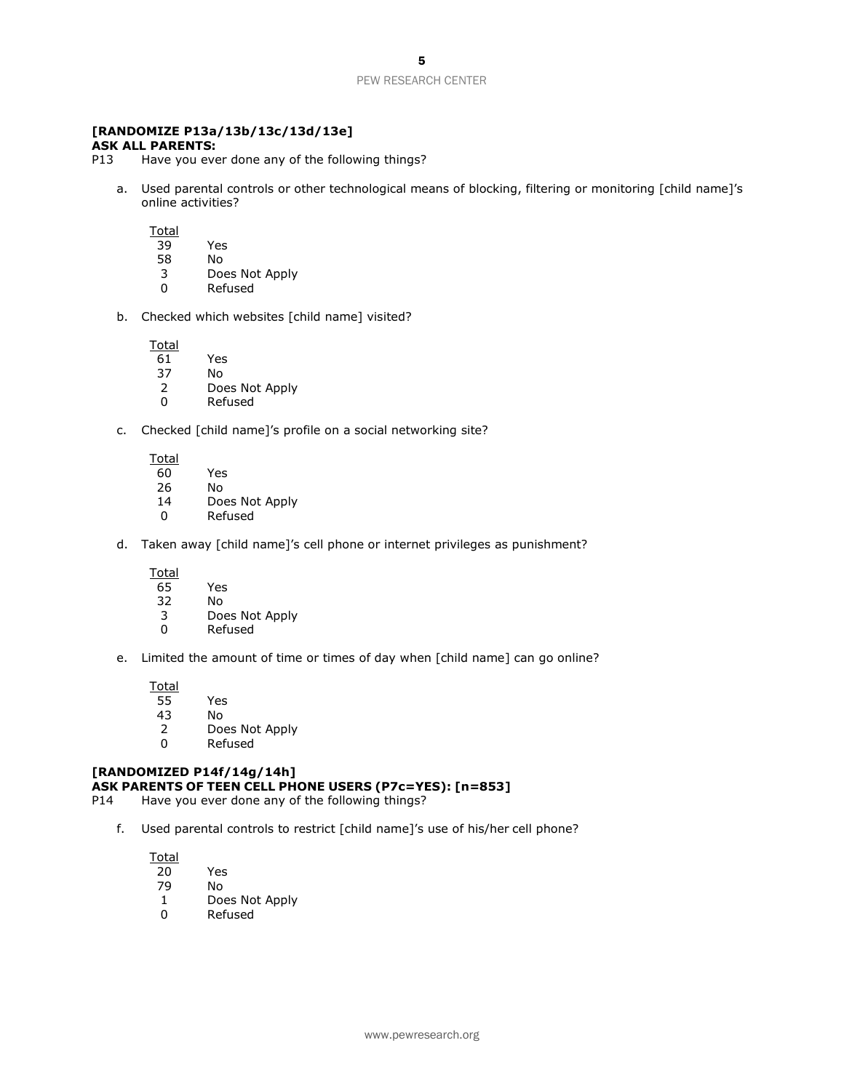### **[RANDOMIZE P13a/13b/13c/13d/13e]**

#### **ASK ALL PARENTS:**

- P13 Have you ever done any of the following things?
	- a. Used parental controls or other technological means of blocking, filtering or monitoring [child name]'s online activities?

**Total** 

- 39 Yes
- 58 No
- 3 Does Not Apply
- **Refused**
- b. Checked which websites [child name] visited?

Total

- 61 Yes
- 37 No
- 2 Does Not Apply<br>0 Refused
- **Refused**
- c. Checked [child name]'s profile on a social networking site?

Total

- 60 Yes
- 26 No
- 14 Does Not Apply
- 0 Refused
- d. Taken away [child name]'s cell phone or internet privileges as punishment?

**Total** 

- 65 Yes
- 32 No
- 3 Does Not Apply
- 0 Refused
- e. Limited the amount of time or times of day when [child name] can go online?

**Total** 

- 55 Yes
- 43 No
- 2 Does Not Apply<br>0 Refused
- **Refused**

#### **[RANDOMIZED P14f/14g/14h] ASK PARENTS OF TEEN CELL PHONE USERS (P7c=YES): [n=853]**

- P14 Have you ever done any of the following things?
	- f. Used parental controls to restrict [child name]'s use of his/her cell phone?

- 20 Yes
- 79 No
- 1 Does Not Apply
- 0 Refused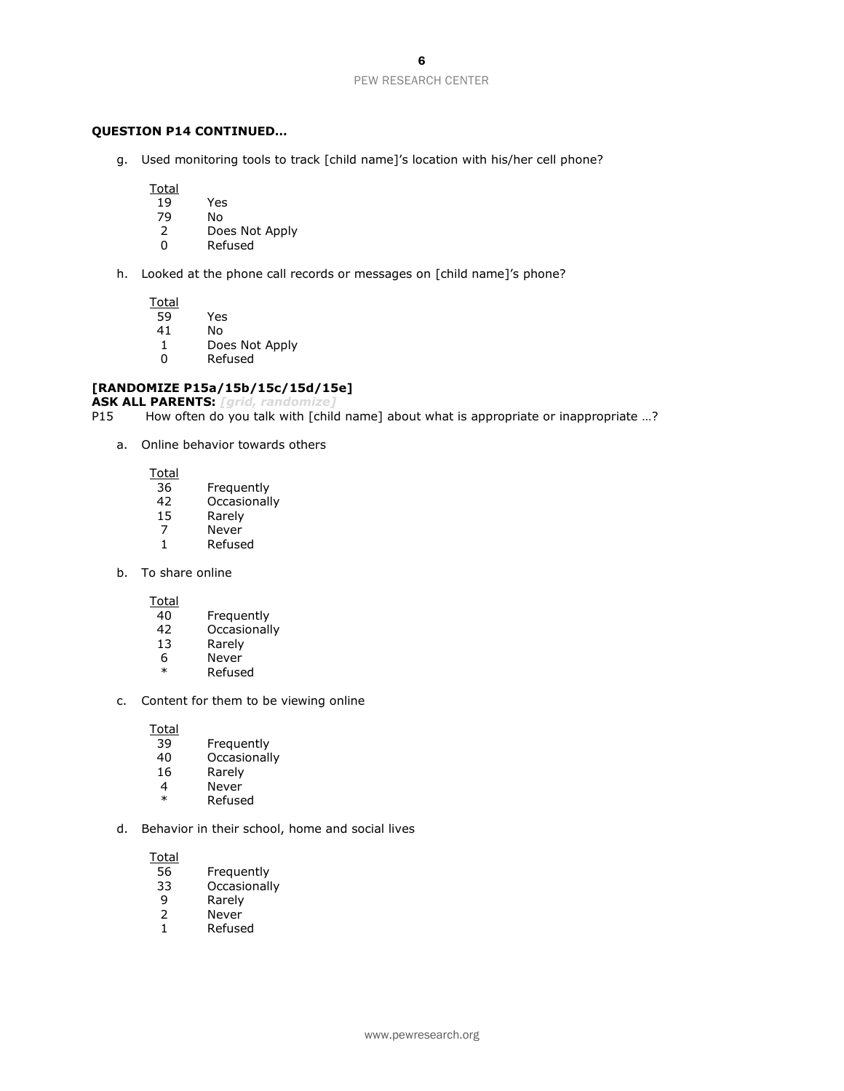#### **QUESTION P14 CONTINUED…**

g. Used monitoring tools to track [child name]'s location with his/her cell phone?

**Total** 

- 19 Yes<br>79 No
- 79 No
- Does Not Apply
- 0 Refused
- h. Looked at the phone call records or messages on [child name]'s phone?

**Total** 

- 59 Yes
- 41 No
- 1 Does Not Apply
- 0 Refused

#### **[RANDOMIZE P15a/15b/15c/15d/15e]**

**ASK ALL PARENTS:** *[grid, randomize]*

How often do you talk with [child name] about what is appropriate or inappropriate ...?

a. Online behavior towards others

Total

- 36 Frequently
- 42 Occasionally<br>15 Rarely
- 15 Rarely<br>7 Never
- Never
- 1 Refused
- b. To share online

Total<br>40

- **Frequently**
- 42 Occasionally
- 13 Rarely
- 6 Never
- \* Refused
- c. Content for them to be viewing online

Total<br>39

- Frequently
- 40 Occasionally<br>16 Rarely
- Rarely
- 4 Never
- \* Refused
- d. Behavior in their school, home and social lives

- 56 Frequently<br>33 Occasionall
- **Occasionally**
- 9 Rarely<br>2 Never
- **Never**
- 1 Refused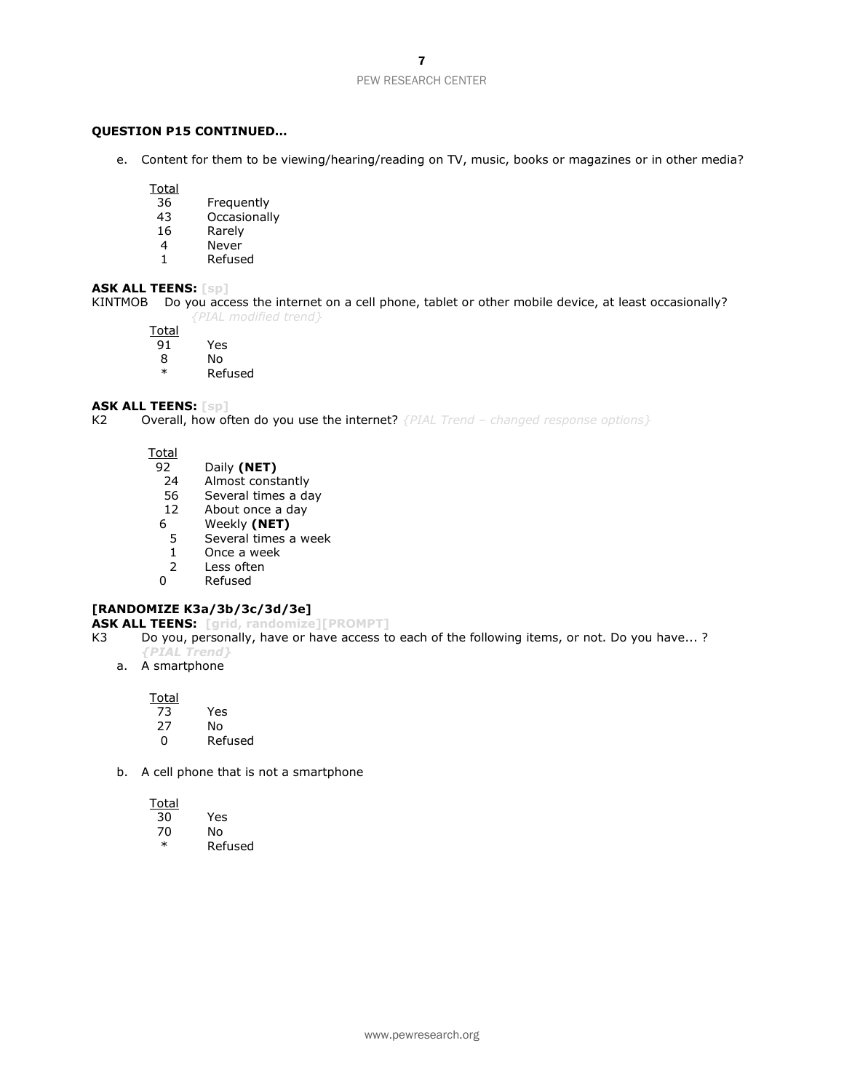#### **QUESTION P15 CONTINUED…**

e. Content for them to be viewing/hearing/reading on TV, music, books or magazines or in other media?

**Total** 

- 36 Frequently<br>43 Occasionall
- Occasionally
- 16 Rarely
- 4 Never
- 1 Refused

#### **ASK ALL TEENS: [sp]**

KINTMOB Do you access the internet on a cell phone, tablet or other mobile device, at least occasionally? *{PIAL modified trend}*

Total

- 91 Yes
- 8 No<br>\* Ref
- **Refused**

#### **ASK ALL TEENS: [sp]**

K2 Overall, how often do you use the internet? *{PIAL Trend – changed response options}*

**Total** 

- 92 Daily **(NET)**
- Almost constantly
- 56 Several times a day
- 12 About once a day
- 6 Weekly **(NET)**
- 5 Several times a week
- 1 Once a week
- 
- 2 Less often<br>0 Refused **Refused**

#### **[RANDOMIZE K3a/3b/3c/3d/3e]**

**ASK ALL TEENS: [grid, randomize][PROMPT]**

- K3 Do you, personally, have or have access to each of the following items, or not. Do you have...? *{PIAL Trend}*
	- a. A smartphone

**Total** 

- 73 Yes
- No.
- 0 Refused
- b. A cell phone that is not a smartphone

- 30 Yes 70 No
	- \* Refused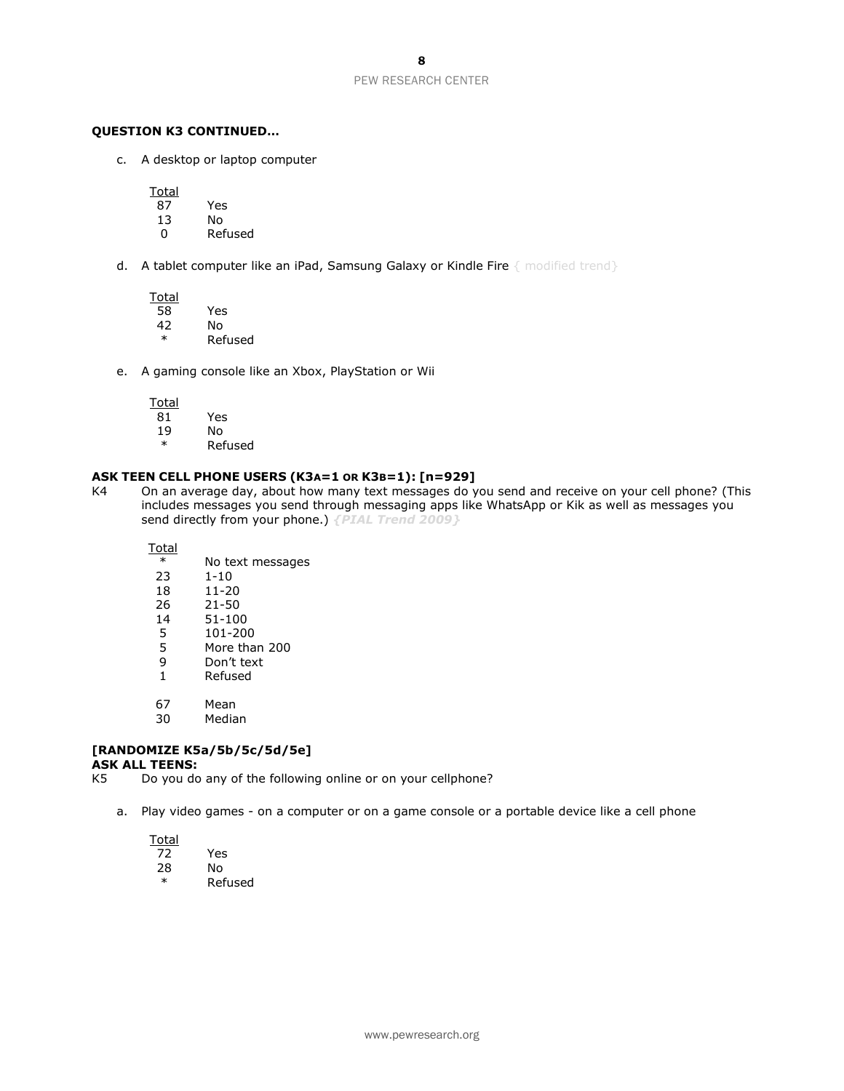#### **QUESTION K3 CONTINUED…**

c. A desktop or laptop computer

Total

- 87 Yes
- 13 No
- **Refused**
- d. A tablet computer like an iPad, Samsung Galaxy or Kindle Fire { modified trend}

**Total** 

- 58 Yes 42 No
- **Refused**
- e. A gaming console like an Xbox, PlayStation or Wii

**Total** 

- 81 Yes
- 19 No
- \* Refused

#### **ASK TEEN CELL PHONE USERS (K3A=1 OR K3B=1): [n=929]**

K4 On an average day, about how many text messages do you send and receive on your cell phone? (This includes messages you send through messaging apps like WhatsApp or Kik as well as messages you send directly from your phone.) *{PIAL Trend 2009}*

Total

- \* No text messages
- 23 1-10<br>18 11-20
- $11 20$
- 26 21-50
- 14 51-100
- 5 101-200
- 5 More than 200
- 9 Don't text
- 1 Refused
- 67 Mean
- 30 Median

# **[RANDOMIZE K5a/5b/5c/5d/5e]**

**ASK ALL TEENS:**

K5 Do you do any of the following online or on your cellphone?

a. Play video games - on a computer or on a game console or a portable device like a cell phone

| otal |   |
|------|---|
| ╯    | ⊷ |
|      |   |

28 No **Refused**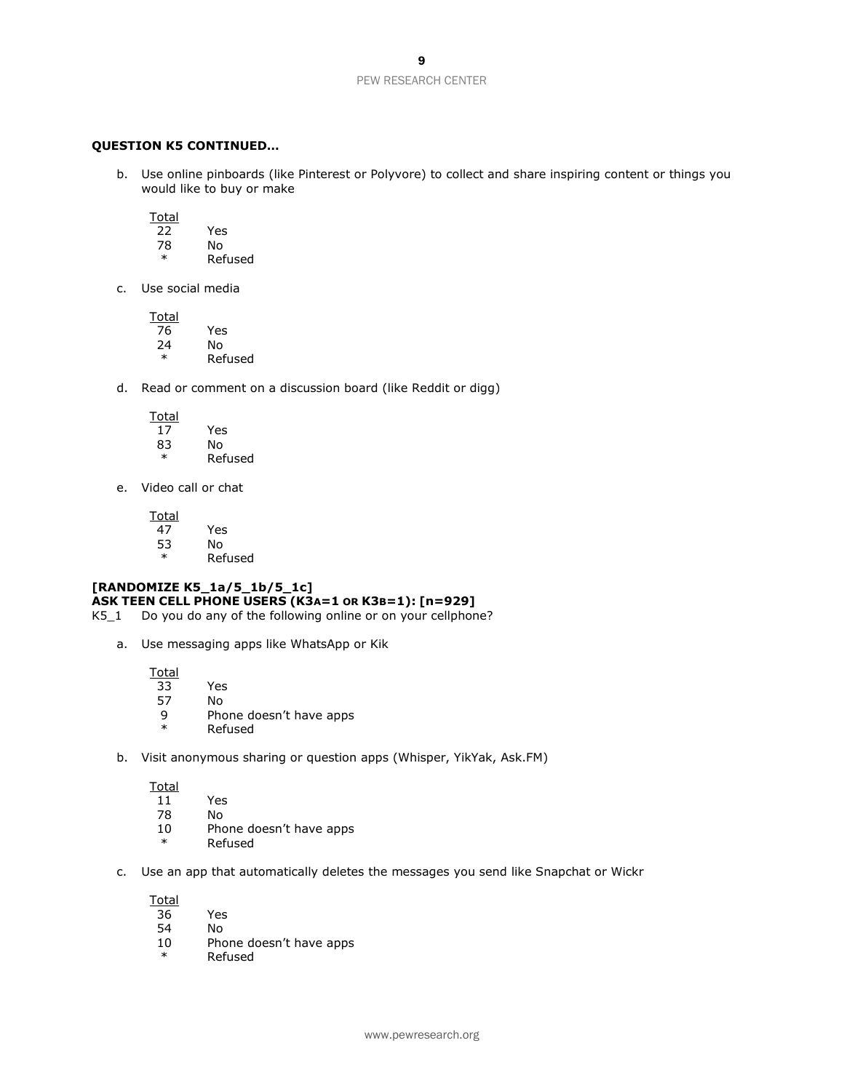#### **QUESTION K5 CONTINUED…**

b. Use online pinboards (like Pinterest or Polyvore) to collect and share inspiring content or things you would like to buy or make

**Total** 

- 22 Yes 78 No
- \* Refused
- c. Use social media

**Total** 76 Yes  $24$  No<br> $*$  Ref **Refused** 

d. Read or comment on a discussion board (like Reddit or digg)

Total<br>17

- 17 Yes 83 No
	- \* Refused
- e. Video call or chat

Total<br>47

- 47 Yes 53 No
- \* Refused

#### **[RANDOMIZE K5\_1a/5\_1b/5\_1c] ASK TEEN CELL PHONE USERS (K3A=1 OR K3B=1): [n=929]**

K5\_1 Do you do any of the following online or on your cellphone?

a. Use messaging apps like WhatsApp or Kik

Total

- 33 Yes
- 57 No
- 9 Phone doesn't have apps
- **Refused**
- b. Visit anonymous sharing or question apps (Whisper, YikYak, Ask.FM)

**Total** 

- 11 Yes
- 78 No
- 10 Phone doesn't have apps
- \* Refused
- c. Use an app that automatically deletes the messages you send like Snapchat or Wickr

- 36 Yes
- No.
- 10 Phone doesn't have apps
- \* Refused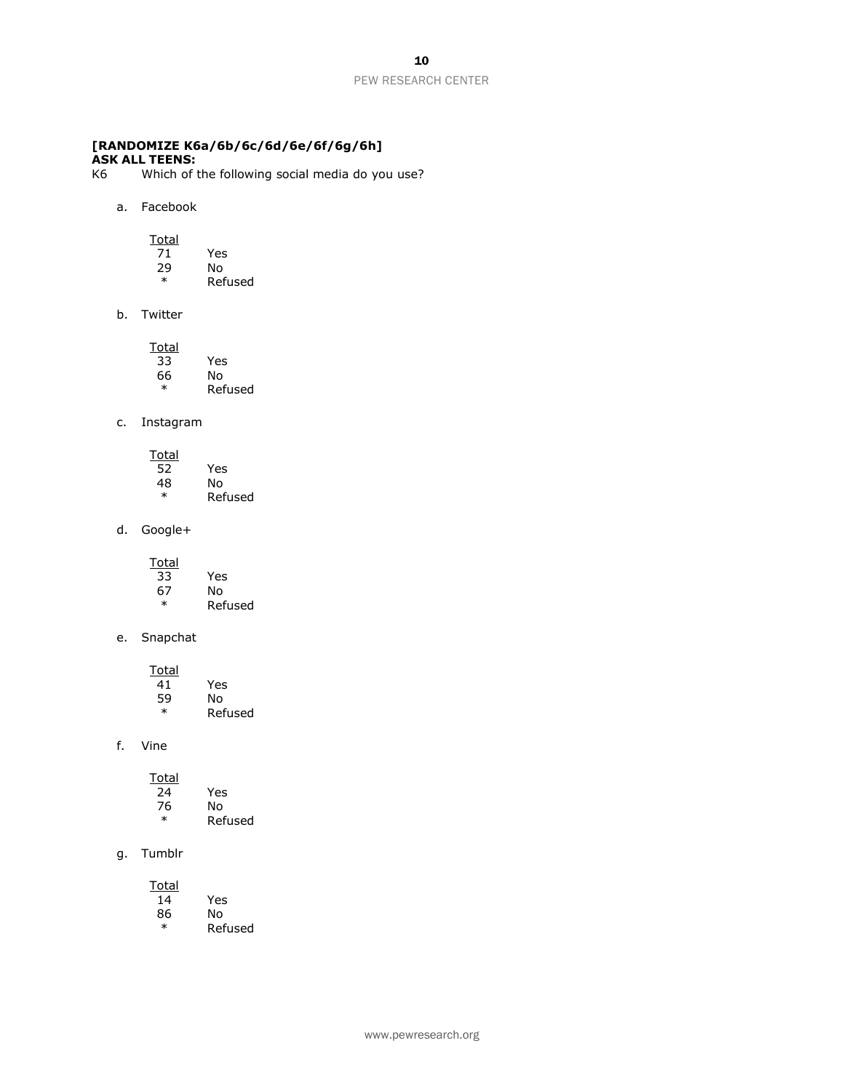#### **[RANDOMIZE K6a/6b/6c/6d/6e/6f/6g/6h] ASK ALL TEENS:**

- K6 Which of the following social media do you use?
	- a. Facebook

Total

| 71     | Yes     |
|--------|---------|
| 29     | N٥      |
| $\ast$ | Refused |

b. Twitter

| Total |         |
|-------|---------|
| 33    | Yes     |
| 66    | N٥      |
| ж     | Refused |

#### c. Instagram

| Total  |         |
|--------|---------|
| 52     | Yes     |
| 48     | N٥      |
| $\ast$ | Refused |
|        |         |

d. Google+

| Total  |         |
|--------|---------|
| 33     | Yes     |
| 67     | N٥      |
| $\ast$ | Refused |

e. Snapchat

| Total  |         |
|--------|---------|
| 41     | Yes     |
| 59     | N٥      |
| $\ast$ | Refused |

#### f. Vine

| Total  |         |
|--------|---------|
| 24     | Yes     |
| 76     | N٥      |
| $\ast$ | Refused |

g. Tumblr

| Total  |         |
|--------|---------|
| 14     | Yes     |
| 86     | No      |
| $\ast$ | Refused |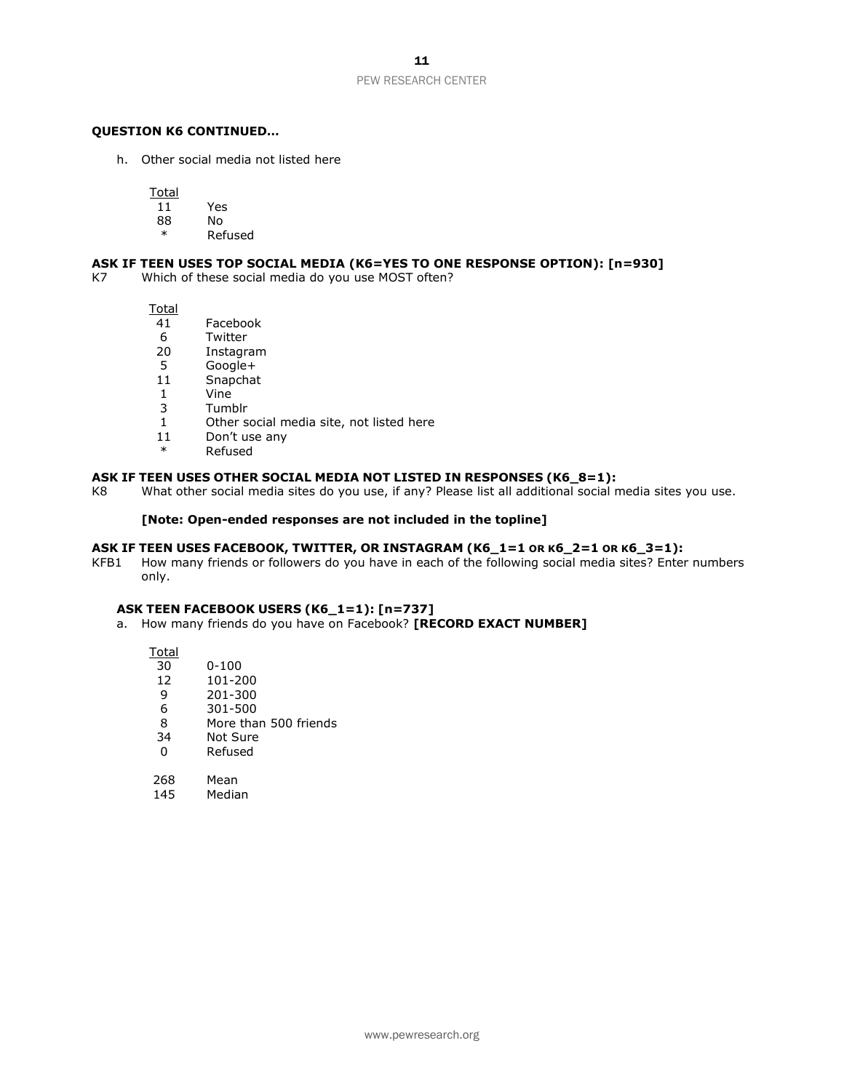#### **QUESTION K6 CONTINUED…**

h. Other social media not listed here

Total

- 11 Yes
- No.
- **Refused**

#### **ASK IF TEEN USES TOP SOCIAL MEDIA (K6=YES TO ONE RESPONSE OPTION): [n=930]**

K7 Which of these social media do you use MOST often?

Total

- 41 Facebook
- 6 Twitter<br>20 Instagr
- 20 Instagram<br>5 Google+
- 5 Google+<br>11 Snapcha
- Snapchat
- 1 Vine
- 3 Tumblr
- 1 Other social media site, not listed here
- 11 Don't use any
- **Refused**

#### **ASK IF TEEN USES OTHER SOCIAL MEDIA NOT LISTED IN RESPONSES (K6\_8=1):**

K8 What other social media sites do you use, if any? Please list all additional social media sites you use.

#### **[Note: Open-ended responses are not included in the topline]**

#### **ASK IF TEEN USES FACEBOOK, TWITTER, OR INSTAGRAM (K6\_1=1 OR K6\_2=1 OR K6\_3=1):**

KFB1 How many friends or followers do you have in each of the following social media sites? Enter numbers only.

#### **ASK TEEN FACEBOOK USERS (K6\_1=1): [n=737]**

a. How many friends do you have on Facebook? **[RECORD EXACT NUMBER]**

Total<br>30  $0 - 100$ 12 101-200 9 201-300 6 301-500

- 8 More than 500 friends
- 34 Not Sure
- 0 Refused
- 268 Mean<br>145 Media
- Median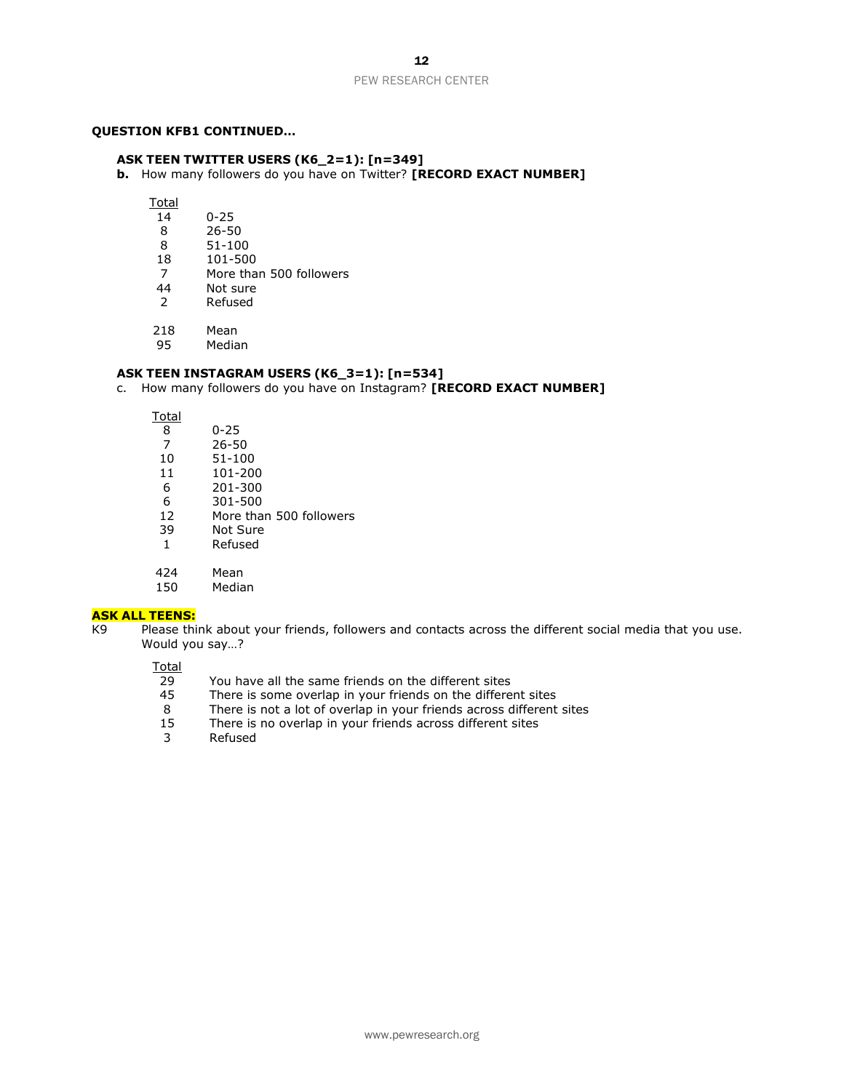#### **QUESTION KFB1 CONTINUED…**

#### **ASK TEEN TWITTER USERS (K6\_2=1): [n=349]**

**b.** How many followers do you have on Twitter? **[RECORD EXACT NUMBER]**

Total<br>14

- 14 0-25
- 26-50
- 8 51-100
- 18 101-500
- 7 More than 500 followers<br>44 Not sure
- 44 Not sure<br>2 Refused **Refused**
- 
- 218 Mean
- 95 Median

#### **ASK TEEN INSTAGRAM USERS (K6\_3=1): [n=534]**

c. How many followers do you have on Instagram? **[RECORD EXACT NUMBER]**

**Total** 

| 8              | 0-25                    |
|----------------|-------------------------|
| $\overline{7}$ | $26 - 50$               |
| 10             | 51-100                  |
| 11             | 101-200                 |
| 6              | 201-300                 |
| 6              | 301-500                 |
| 12             | More than 500 followers |
| 39             | Not Sure                |
| $\mathbf{1}$   | Refused                 |
|                |                         |
|                |                         |

424 Mean<br>150 Media Median

#### **ASK ALL TEENS:**

K9 Please think about your friends, followers and contacts across the different social media that you use. Would you say…?

Total<br>29

- You have all the same friends on the different sites
- 45 There is some overlap in your friends on the different sites
- 8 There is not a lot of overlap in your friends across different sites
- 15 There is no overlap in your friends across different sites
- 3 Refused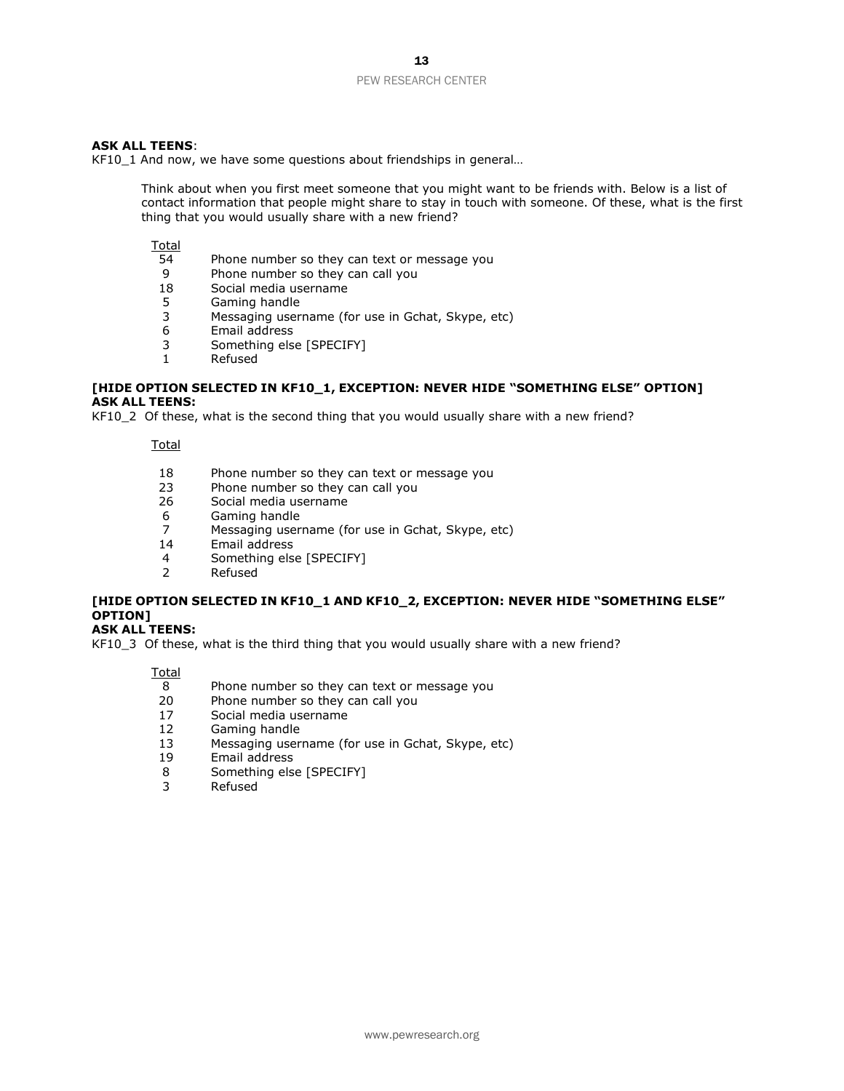#### **ASK ALL TEENS**:

KF10\_1 And now, we have some questions about friendships in general…

Think about when you first meet someone that you might want to be friends with. Below is a list of contact information that people might share to stay in touch with someone. Of these, what is the first thing that you would usually share with a new friend?

#### **Total**

- 54 Phone number so they can text or message you<br>9 Phone number so they can call you
- 9 Phone number so they can call you<br>18 Social media username
- 18 Social media username<br>5 Gaming handle
- 5 Gaming handle
- 3 Messaging username (for use in Gchat, Skype, etc)
- 6 Email address
- 3 Something else [SPECIFY]
- 1 Refused

#### **[HIDE OPTION SELECTED IN KF10\_1, EXCEPTION: NEVER HIDE "SOMETHING ELSE" OPTION] ASK ALL TEENS:**

KF10\_2 Of these, what is the second thing that you would usually share with a new friend?

Total

- 18 Phone number so they can text or message you
- 23 Phone number so they can call you
- 26 Social media username
- 6 Gaming handle<br>7 Messaging user
- 7 Messaging username (for use in Gchat, Skype, etc)
- Email address
- 4 Something else [SPECIFY]
- 2 Refused

### **[HIDE OPTION SELECTED IN KF10\_1 AND KF10\_2, EXCEPTION: NEVER HIDE "SOMETHING ELSE" OPTION]**

**ASK ALL TEENS:**

KF10\_3 Of these, what is the third thing that you would usually share with a new friend?

- 8 Phone number so they can text or message you<br>20 Phone number so they can call you
- Phone number so they can call you
- 17 Social media username<br>12 Gaming handle
- 12 Gaming handle<br>13 Messaging user
- Messaging username (for use in Gchat, Skype, etc)
- 19 Email address
- 8 Something else [SPECIFY]
- 3 Refused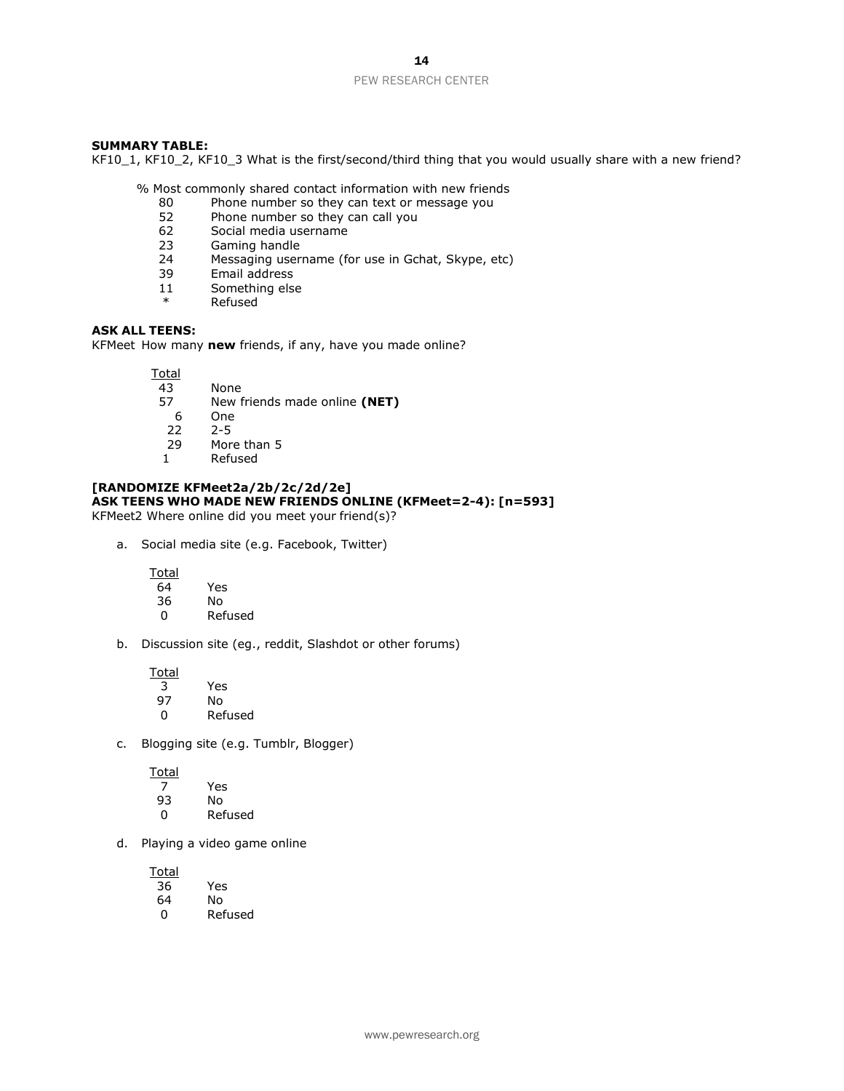#### **SUMMARY TABLE:**

KF10\_1, KF10\_2, KF10\_3 What is the first/second/third thing that you would usually share with a new friend?

% Most commonly shared contact information with new friends

- 80 Phone number so they can text or message you<br>52 Phone number so they can call you
- 52 Phone number so they can call you<br>62 Social media username
- Social media username
- 23 Gaming handle
- 24 Messaging username (for use in Gchat, Skype, etc)<br>39 Email address
- Email address
- 11 Something else
- **Refused**

#### **ASK ALL TEENS:**

KFMeet How many **new** friends, if any, have you made online?

Total

- 43 None<br>57 New f
- 57 New friends made online **(NET)**
- $6$  One<br> $22$   $2-5$
- $2 5$
- 29 More than 5
- 1 Refused

#### **[RANDOMIZE KFMeet2a/2b/2c/2d/2e] ASK TEENS WHO MADE NEW FRIENDS ONLINE (KFMeet=2-4): [n=593]**

KFMeet2 Where online did you meet your friend(s)?

a. Social media site (e.g. Facebook, Twitter)

**Total** 

- $\overline{64}$  Yes 36 No
- 0 Refused
- b. Discussion site (eg., reddit, Slashdot or other forums)

Total

| 3  | Yes     |
|----|---------|
| 97 | N٥      |
| n  | Refused |

c. Blogging site (e.g. Tumblr, Blogger)

Total

| 7  | Yes     |
|----|---------|
| 93 | N٥      |
| O  | Refused |

d. Playing a video game online

**Total** 36 Yes 64 No

0 Refused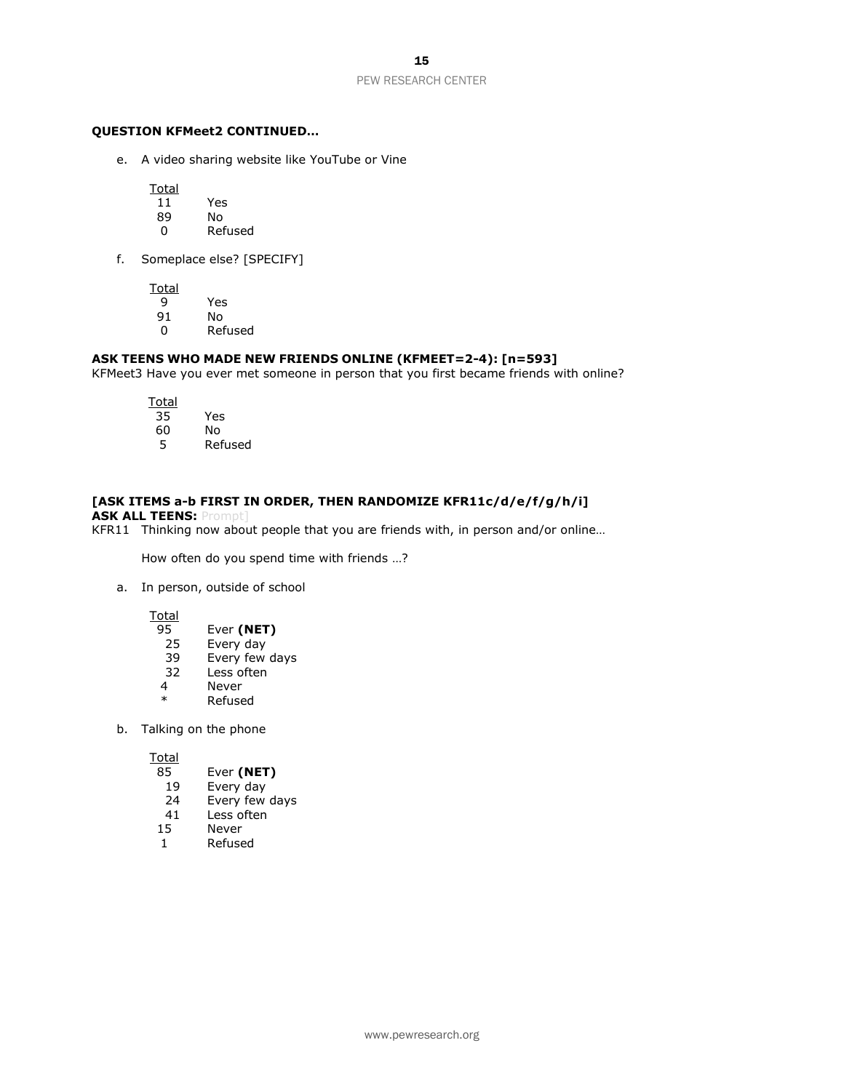#### **QUESTION KFMeet2 CONTINUED…**

e. A video sharing website like YouTube or Vine

**Total** 

- 11 Yes
- No.
- 0 Refused
- f. Someplace else? [SPECIFY]

Total<br>9

- Yes
- 91 No
- 0 Refused

#### **ASK TEENS WHO MADE NEW FRIENDS ONLINE (KFMEET=2-4): [n=593]**

KFMeet3 Have you ever met someone in person that you first became friends with online?

- Total<br>35
- 35 Yes
- 60 No
- 5 Refused

### **[ASK ITEMS a-b FIRST IN ORDER, THEN RANDOMIZE KFR11c/d/e/f/g/h/i]**

**ASK ALL TEENS: Prom** 

KFR11 Thinking now about people that you are friends with, in person and/or online…

How often do you spend time with friends …?

a. In person, outside of school

**Total** 

- 95 Ever **(NET)**
- 25 Every day
- 39 Every few days
- 32 Less often
- 4 Never<br>\* Refuse **Refused**
- b. Talking on the phone

Total<br>85

- Ever (NET)
- 19 Every day
- 24 Every few days
- 41 Less often
- 15 Never
- 1 Refused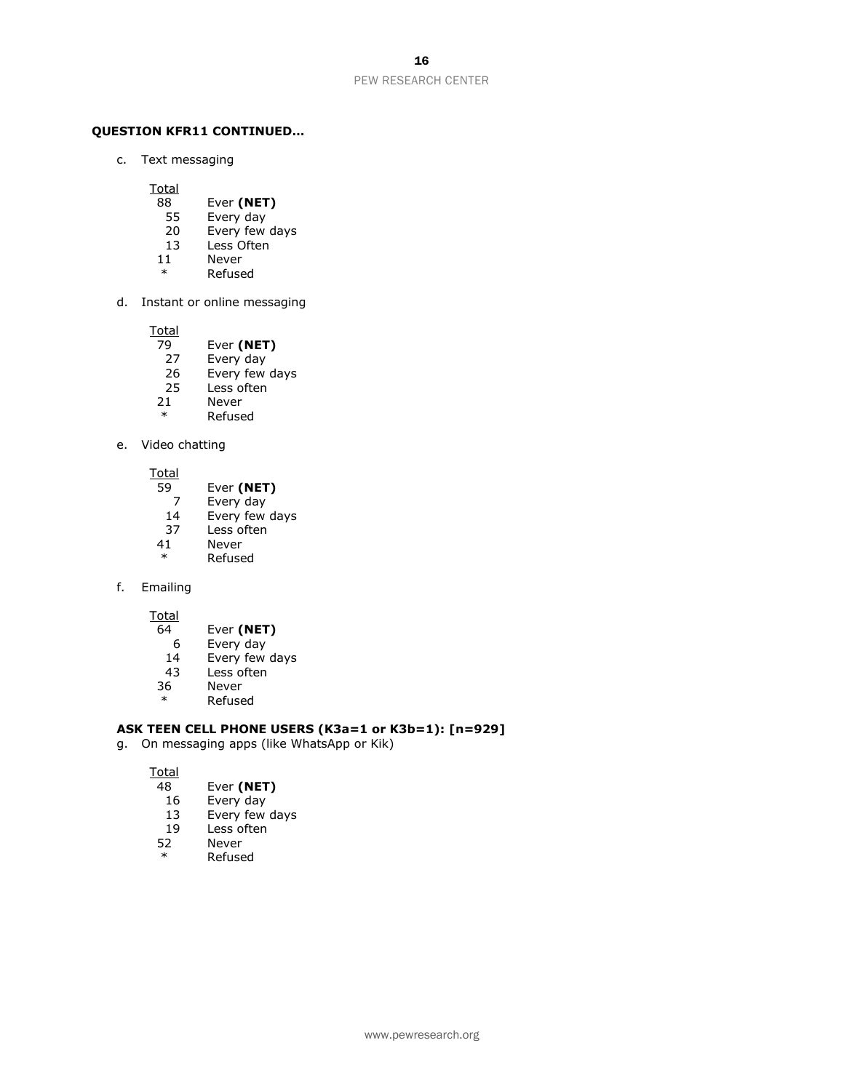#### **QUESTION KFR11 CONTINUED…**

c. Text messaging

**Total** 

- 88 Ever **(NET)**
- 55 Every day<br>20 Every few
- Every few days
- 13 Less Often
- 11 Never
- \* Refused
- d. Instant or online messaging

Total<br>79

- 79 Ever **(NET)**<br>27 Every day
- Every day
- 26 Every few days<br>25 Less often
- 25 Less often<br>21 Never
- 21 Never<br>\* Pefuse
- **Refused**

#### e. Video chatting

Total

- 59 Ever **(NET)**
- 7 Every day
- 14 Every few days
- 37 Less often<br>41 Never
- **Never**
- \* Refused
- f. Emailing

Total

- 64 Ever **(NET)**
- 6 Every day<br>14 Every few
- Every few days
- 43 Less often
- 36 Never
- \* Refused

#### **ASK TEEN CELL PHONE USERS (K3a=1 or K3b=1): [n=929]**

g. On messaging apps (like WhatsApp or Kik)

Total

#### 48 Ever **(NET)**

- 16 Every day
- 13 Every few days
- 19 Less often<br>52 Never
- 52 Never<br>\* Refuse
	- **Refused**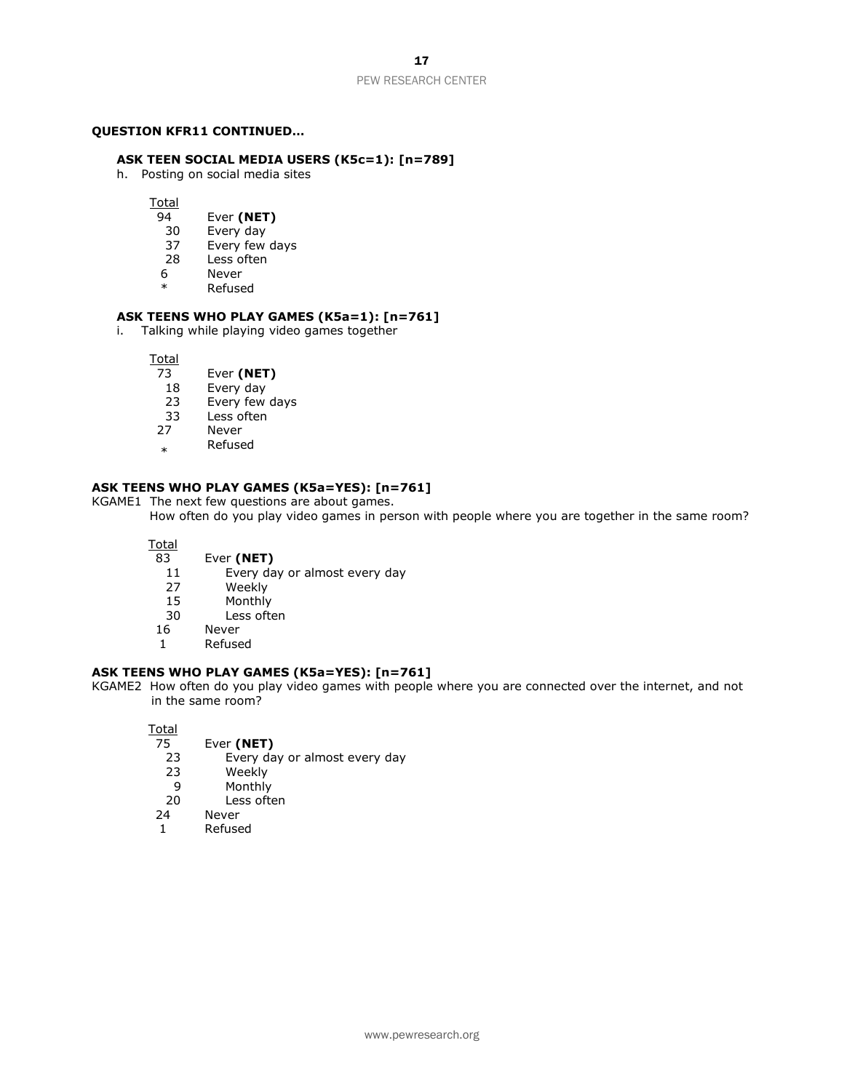#### **QUESTION KFR11 CONTINUED…**

#### **ASK TEEN SOCIAL MEDIA USERS (K5c=1): [n=789]**

h. Posting on social media sites

Total<br>94

- 94 Ever **(NET)**<br>30 Every day
- Every day
- 37 Every few days
- 28 Less often
- 6 Never
- \* Refused

#### **ASK TEENS WHO PLAY GAMES (K5a=1): [n=761]**

i. Talking while playing video games together

**Total** 

- 73 Ever **(NET)**
- 18 Every day<br>23 Every few
- 23 Every few days<br>33 Less often
- 33 Less often<br>27 Never
- **Never**
- \* Refused

#### **ASK TEENS WHO PLAY GAMES (K5a=YES): [n=761]**

KGAME1 The next few questions are about games.

How often do you play video games in person with people where you are together in the same room?

Total

- 83 Ever **(NET)**
	- 11 Every day or almost every day
	- 27 Weekly<br>15 Monthly
	- 15 Monthly<br>30 Less ofte
	- Less often
- 16 Never
- 1 Refused

#### **ASK TEENS WHO PLAY GAMES (K5a=YES): [n=761]**

KGAME2 How often do you play video games with people where you are connected over the internet, and not in the same room?

Total<br>75

- 75 Ever **(NET)**
- 23 Every day or almost every day<br>23 Weekly
- Weekly
- 9 Monthly
- 20 Less often
- 24 Never
- 1 Refused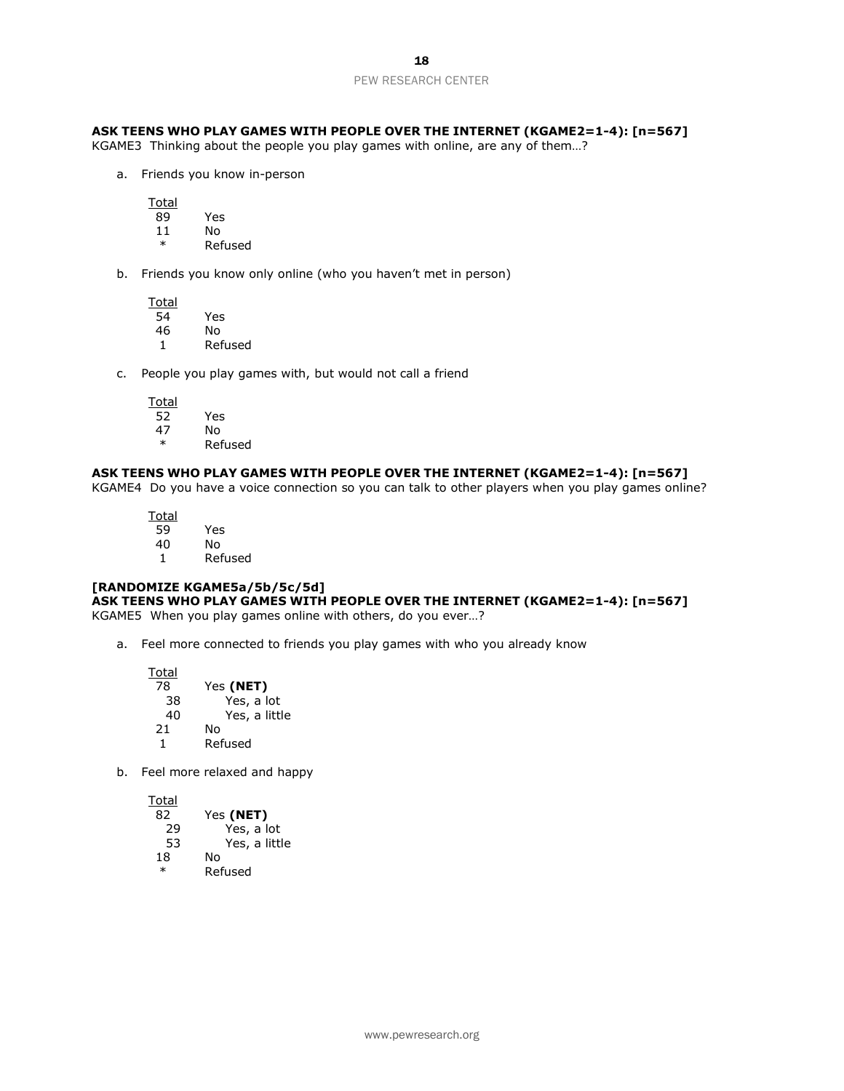#### **ASK TEENS WHO PLAY GAMES WITH PEOPLE OVER THE INTERNET (KGAME2=1-4): [n=567]**

KGAME3 Thinking about the people you play games with online, are any of them…?

a. Friends you know in-person

Total 89 Yes

- 11 No \* Refused
- b. Friends you know only online (who you haven't met in person)

**Total** 54 Yes 46 No 1 Refused

c. People you play games with, but would not call a friend

Total<br>52 52 Yes N<sub>o</sub> \* Refused

#### **ASK TEENS WHO PLAY GAMES WITH PEOPLE OVER THE INTERNET (KGAME2=1-4): [n=567]**

KGAME4 Do you have a voice connection so you can talk to other players when you play games online?

Total<br>59 59 Yes 40 No 1 Refused

#### **[RANDOMIZE KGAME5a/5b/5c/5d]**

#### **ASK TEENS WHO PLAY GAMES WITH PEOPLE OVER THE INTERNET (KGAME2=1-4): [n=567]**

KGAME5 When you play games online with others, do you ever…?

a. Feel more connected to friends you play games with who you already know

| Total |               |
|-------|---------------|
| 78    | Yes (NET)     |
| 38    | Yes, a lot    |
| 40    | Yes, a little |
| 21    | No            |
| 1     | Refused       |

b. Feel more relaxed and happy

| 82     | Yes (NET)     |
|--------|---------------|
| 29     | Yes, a lot    |
| 53     | Yes, a little |
| 18     | N٥            |
| $\ast$ | Refused       |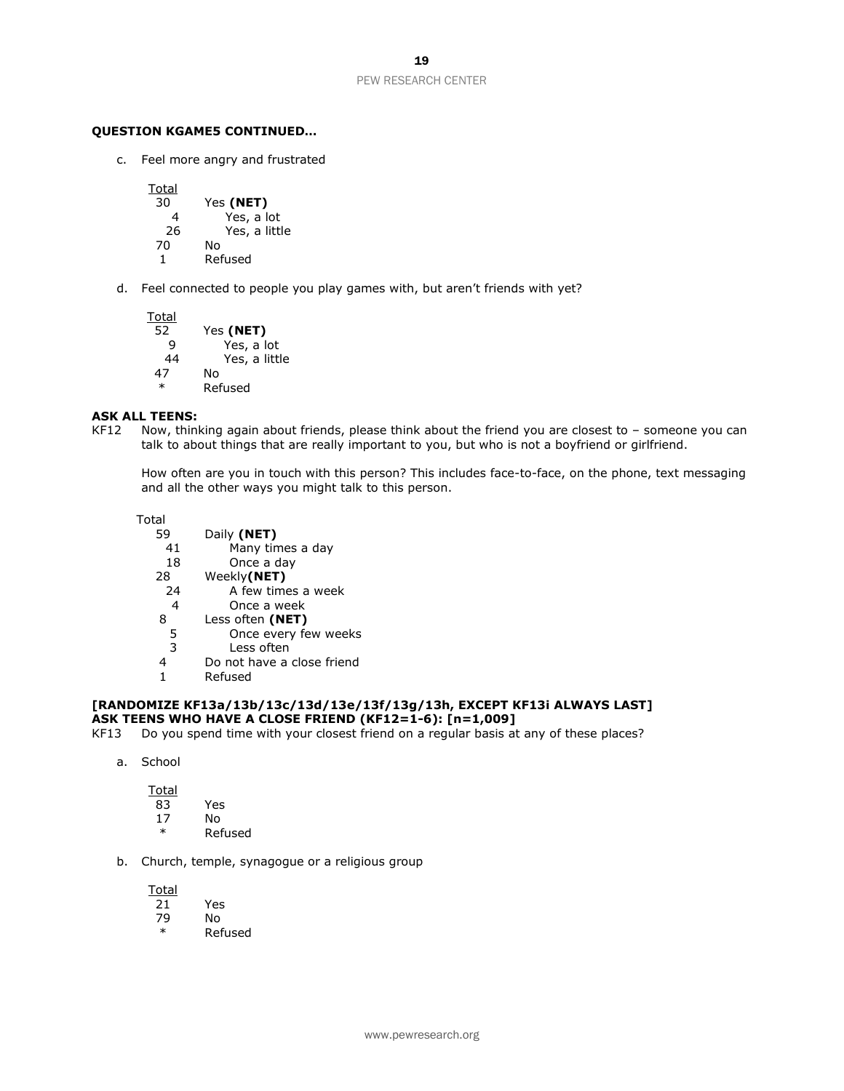#### **QUESTION KGAME5 CONTINUED…**

c. Feel more angry and frustrated

**Total** 30 Yes **(NET)** 4 Yes, a lot<br>26 Yes, a littl Yes, a little 70 No 1 Refused

d. Feel connected to people you play games with, but aren't friends with yet?

Total 52 Yes **(NET)** Yes, a lot 44 Yes, a little 47 No \* Refused

#### **ASK ALL TEENS:**

KF12 Now, thinking again about friends, please think about the friend you are closest to – someone you can talk to about things that are really important to you, but who is not a boyfriend or girlfriend.

How often are you in touch with this person? This includes face-to-face, on the phone, text messaging and all the other ways you might talk to this person.

Total

- 59 Daily **(NET)** 41 Many times a day
	-
- 18 Once a day<br>28 Weekly**(NET)** 
	- 8 Weekly**(NET)**<br>24 A few time A few times a week
- 4 Once a week
- 8 Less often **(NET)**
	- 5 Once every few weeks
- 3 Less often
- 4 Do not have a close friend
- 1 Refused

#### **[RANDOMIZE KF13a/13b/13c/13d/13e/13f/13g/13h, EXCEPT KF13i ALWAYS LAST] ASK TEENS WHO HAVE A CLOSE FRIEND (KF12=1-6): [n=1,009]**

- KF13 Do you spend time with your closest friend on a regular basis at any of these places?
	- a. School

Total

- 83 Yes 17 No
- \* Refused
- b. Church, temple, synagogue or a religious group

Total 21 Yes 79 No

**Refused**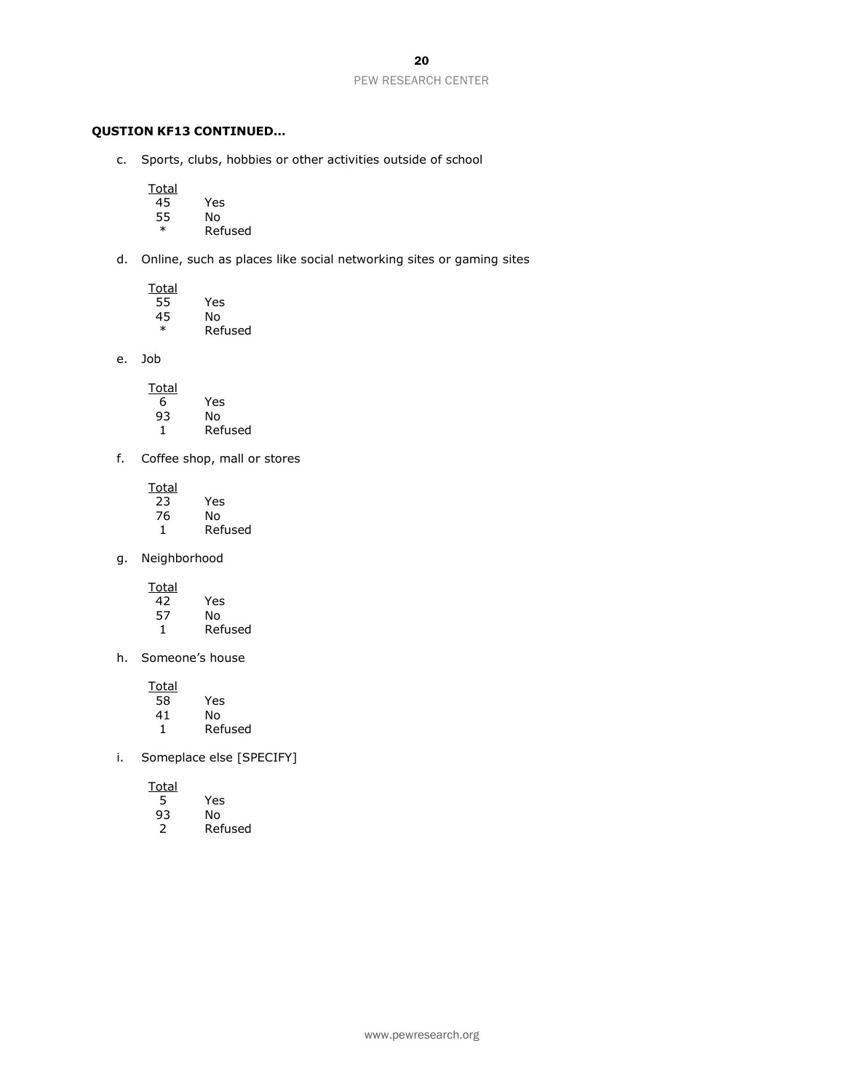### **QUSTION KF13 CONTINUED…**

c. Sports, clubs, hobbies or other activities outside of school

Total<br>45

- $\overline{45}$  Yes<br>55 No
- 55 No<br>\* Ref
	- **Refused**
- d. Online, such as places like social networking sites or gaming sites

| Total |         |
|-------|---------|
| 55    | Yes     |
| 45    | N٥      |
| ж     | Refused |

e. Job

| Total |         |
|-------|---------|
| 6     | Yes     |
| 93    | N٥      |
|       | Refused |

f. Coffee shop, mall or stores

| Total |         |
|-------|---------|
| 23    | Yes     |
| 76    | N٥      |
|       | Refused |

g. Neighborhood

Total<br>42 42 Yes

| 57 | N٥      |
|----|---------|
| 1  | Refused |

h. Someone's house

Total<br>58  $\overline{\begin{array}{ccc} 58 \\ 41 \end{array}}$  Yes 41 No<br>1 Ref

**Refused** 

i. Someplace else [SPECIFY]

Total

|    | Yes |
|----|-----|
| 93 | N٥  |

2 Refused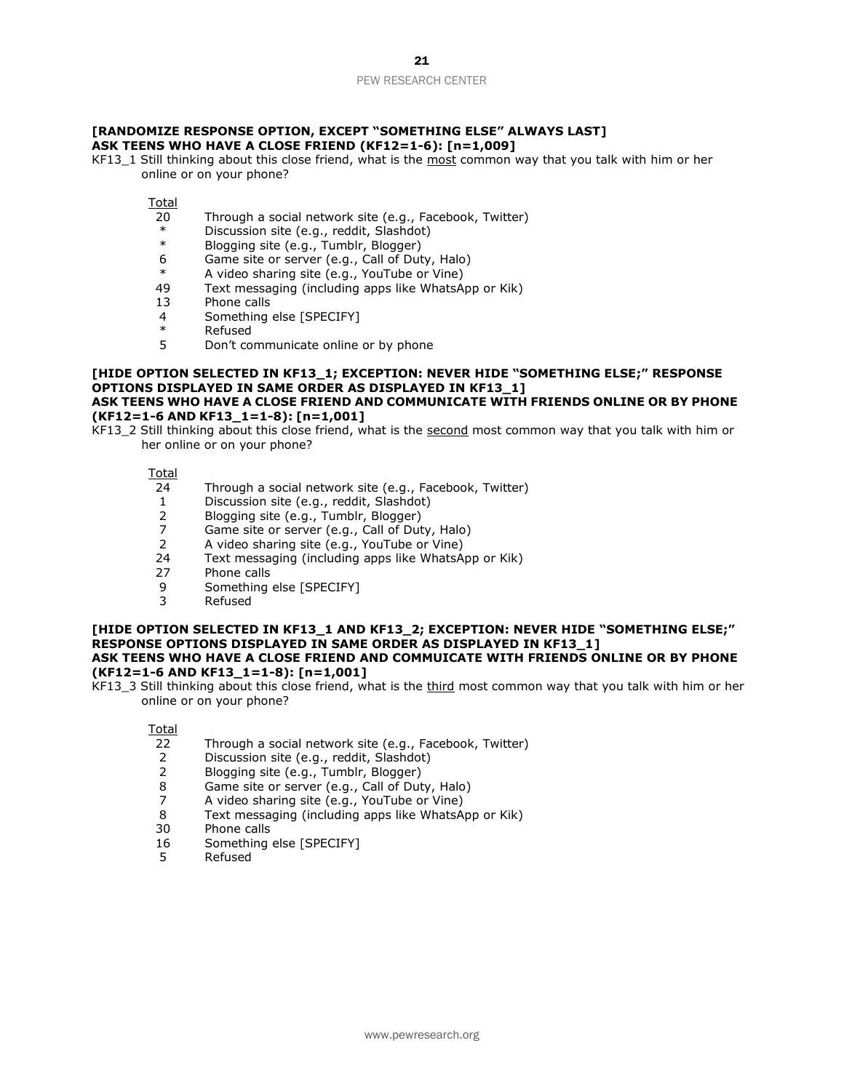#### **[RANDOMIZE RESPONSE OPTION, EXCEPT "SOMETHING ELSE" ALWAYS LAST] ASK TEENS WHO HAVE A CLOSE FRIEND (KF12=1-6): [n=1,009]**

KF13\_1 Still thinking about this close friend, what is the most common way that you talk with him or her online or on your phone?

Total

- 20 Through a social network site  $(e.g., Facebook, Twitter)$ <br>  $*$  Discussion site (e.g., reddit, Slashdot)
- \* Discussion site (e.g., reddit, Slashdot)
- Blogging site (e.g., Tumblr, Blogger)
- 6 Game site or server (e.g., Call of Duty, Halo)
- \* A video sharing site (e.g., YouTube or Vine)
- Text messaging (including apps like WhatsApp or Kik)
- 13 Phone calls
- 4 Something else [SPECIFY]
- \* Refused
- 5 Don't communicate online or by phone

#### **[HIDE OPTION SELECTED IN KF13\_1; EXCEPTION: NEVER HIDE "SOMETHING ELSE;" RESPONSE OPTIONS DISPLAYED IN SAME ORDER AS DISPLAYED IN KF13\_1] ASK TEENS WHO HAVE A CLOSE FRIEND AND COMMUNICATE WITH FRIENDS ONLINE OR BY PHONE**

#### **(KF12=1-6 AND KF13\_1=1-8): [n=1,001]**

KF13\_2 Still thinking about this close friend, what is the second most common way that you talk with him or her online or on your phone?

Total

- 24 Through a social network site (e.g., Facebook, Twitter)
- 1 Discussion site (e.g., reddit, Slashdot)
- 2 Blogging site (e.g., Tumblr, Blogger)<br>2 Game site or server (e.g., Call of Dut
- Game site or server (e.g., Call of Duty, Halo)
- 2 A video sharing site (e.g., YouTube or Vine)
- 24 Text messaging (including apps like WhatsApp or Kik)
- 27 Phone calls
- 9 Something else [SPECIFY]
- 3 Refused

#### **[HIDE OPTION SELECTED IN KF13\_1 AND KF13\_2; EXCEPTION: NEVER HIDE "SOMETHING ELSE;" RESPONSE OPTIONS DISPLAYED IN SAME ORDER AS DISPLAYED IN KF13\_1] ASK TEENS WHO HAVE A CLOSE FRIEND AND COMMUICATE WITH FRIENDS ONLINE OR BY PHONE (KF12=1-6 AND KF13\_1=1-8): [n=1,001]**

KF13\_3 Still thinking about this close friend, what is the third most common way that you talk with him or her online or on your phone?

- 22 Through a social network site (e.g., Facebook, Twitter)
- 2 Discussion site (e.g., reddit, Slashdot)
- 2 Blogging site (e.g., Tumblr, Blogger)
- 8 Game site or server (e.g., Call of Duty, Halo)
- 7 A video sharing site (e.g., YouTube or Vine)
- 8 Text messaging (including apps like WhatsApp or Kik)
- 30 Phone calls
- 16 Something else [SPECIFY]
- 5 Refused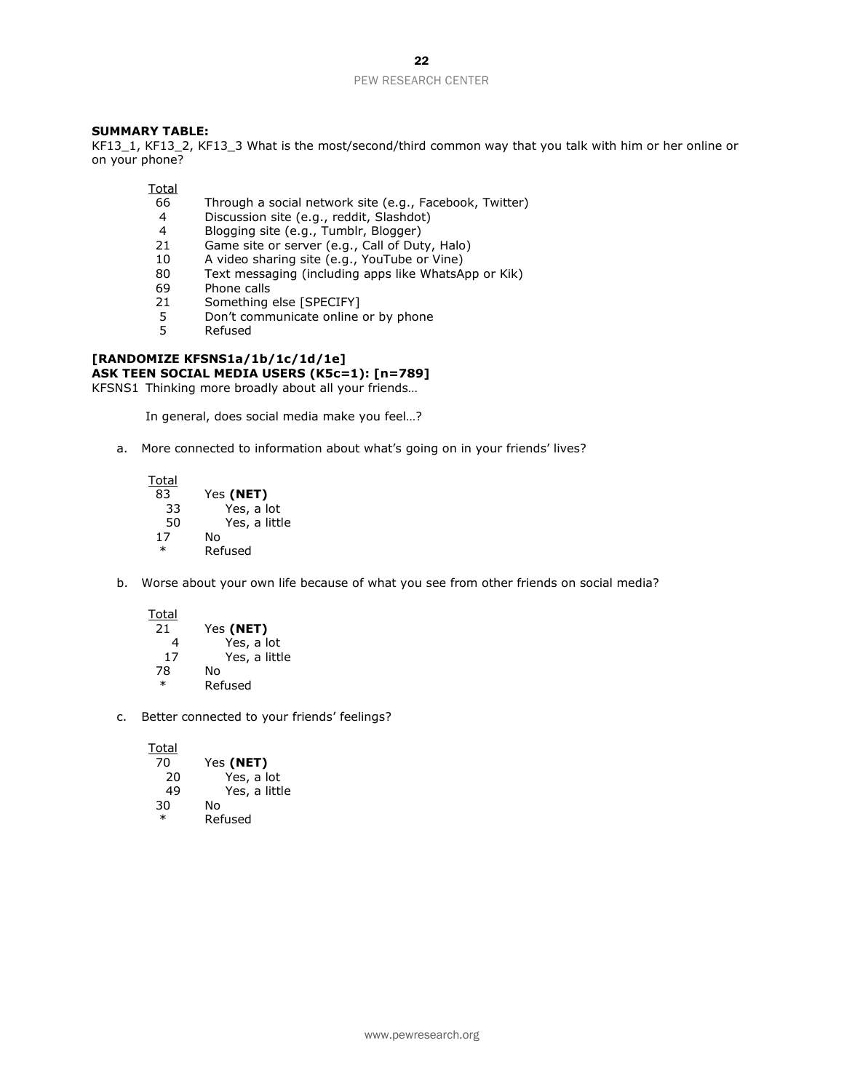#### **SUMMARY TABLE:**

KF13\_1, KF13\_2, KF13\_3 What is the most/second/third common way that you talk with him or her online or on your phone?

**Total** 

- 66 Through a social network site (e.g., Facebook, Twitter)<br>4 Discussion site (e.g., reddit, Slashdot)
- 4 Discussion site (e.g., reddit, Slashdot)<br>4 Blogging site (e.g., Tumblr, Blogger)
- Blogging site (e.g., Tumblr, Blogger)
- 21 Game site or server (e.g., Call of Duty, Halo)
- 10 A video sharing site (e.g., YouTube or Vine)<br>80 Text messaging (including apps like WhatsA
- 80 Text messaging (including apps like WhatsApp or Kik)<br>69 Phone calls
- 69 Phone calls<br>21 Something
- Something else [SPECIFY]
- 5 Don't communicate online or by phone<br>5 Refused
- **Refused**

#### **[RANDOMIZE KFSNS1a/1b/1c/1d/1e] ASK TEEN SOCIAL MEDIA USERS (K5c=1): [n=789]**

KFSNS1 Thinking more broadly about all your friends…

In general, does social media make you feel…?

a. More connected to information about what's going on in your friends' lives?

| Total  |               |
|--------|---------------|
| 83     | Yes (NET)     |
| 33     | Yes, a lot    |
| 50     | Yes, a little |
| 17     | N٥            |
| $\ast$ | Refused       |

b. Worse about your own life because of what you see from other friends on social media?

**Total** 

| 21     | Yes (NET)     |  |
|--------|---------------|--|
| 4      | Yes, a lot    |  |
| 17     | Yes, a little |  |
| 78     | N٥            |  |
| $\ast$ | Refused       |  |

c. Better connected to your friends' feelings?

**Total** 70 Yes **(NET)** 20 Yes, a lot<br>49 Yes, a littl Yes, a little 30 No **Refused**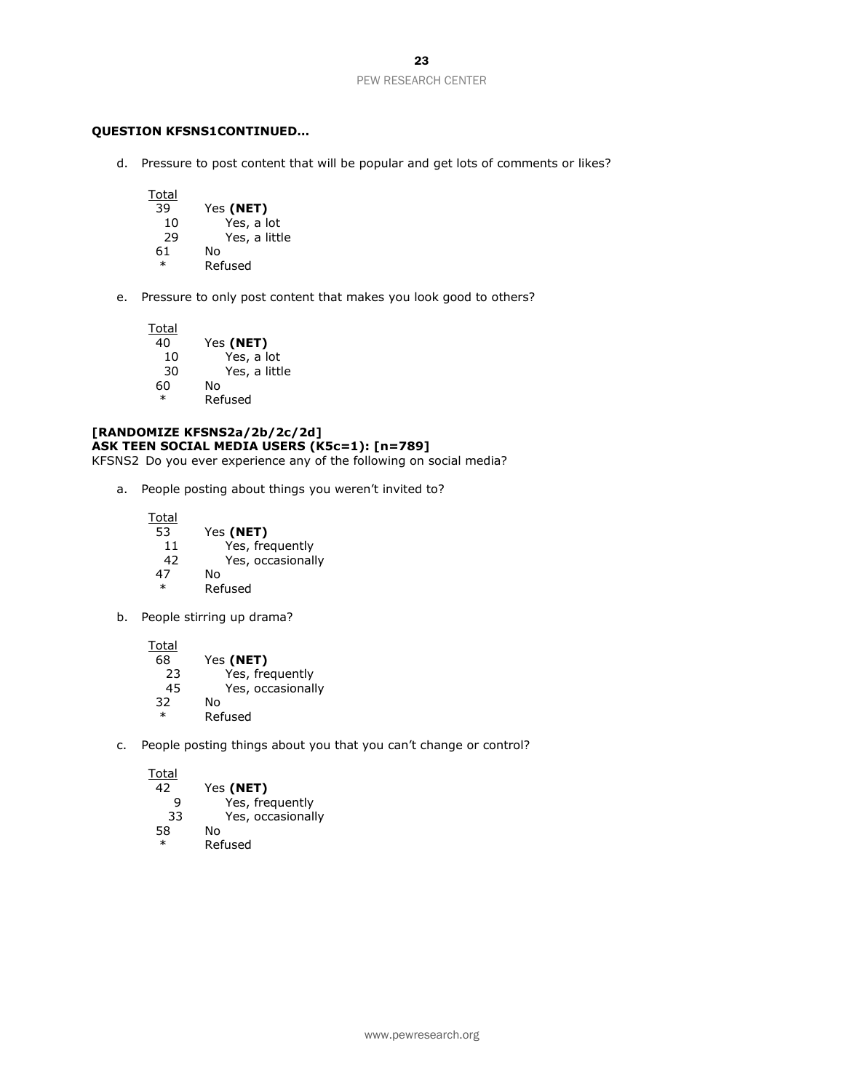#### **QUESTION KFSNS1CONTINUED…**

d. Pressure to post content that will be popular and get lots of comments or likes?

Total<br>39 39 Yes **(NET)** Yes, a lot 29 Yes, a little 61 No \* Refused

e. Pressure to only post content that makes you look good to others?

Total<br>40 40 Yes **(NET)** 10 Yes, a lot 30 Yes, a little 60 \* Refused

# **[RANDOMIZE KFSNS2a/2b/2c/2d] ASK TEEN SOCIAL MEDIA USERS (K5c=1): [n=789]**

KFSNS2 Do you ever experience any of the following on social media?

a. People posting about things you weren't invited to?

| Total  |                   |
|--------|-------------------|
| 53     | Yes (NET)         |
| 11     | Yes, frequently   |
| 42     | Yes, occasionally |
| 47     | N٥                |
| $\ast$ | Refused           |

b. People stirring up drama?

Total

| 68     | Yes (NET)         |
|--------|-------------------|
| 23     | Yes, frequently   |
| 45     | Yes, occasionally |
| 32     | N٥                |
| $\ast$ | Refused           |

c. People posting things about you that you can't change or control?

| 42     | Yes (NET)         |
|--------|-------------------|
| q      | Yes, frequently   |
| 33     | Yes, occasionally |
| 58     | No                |
| $\ast$ | Refused           |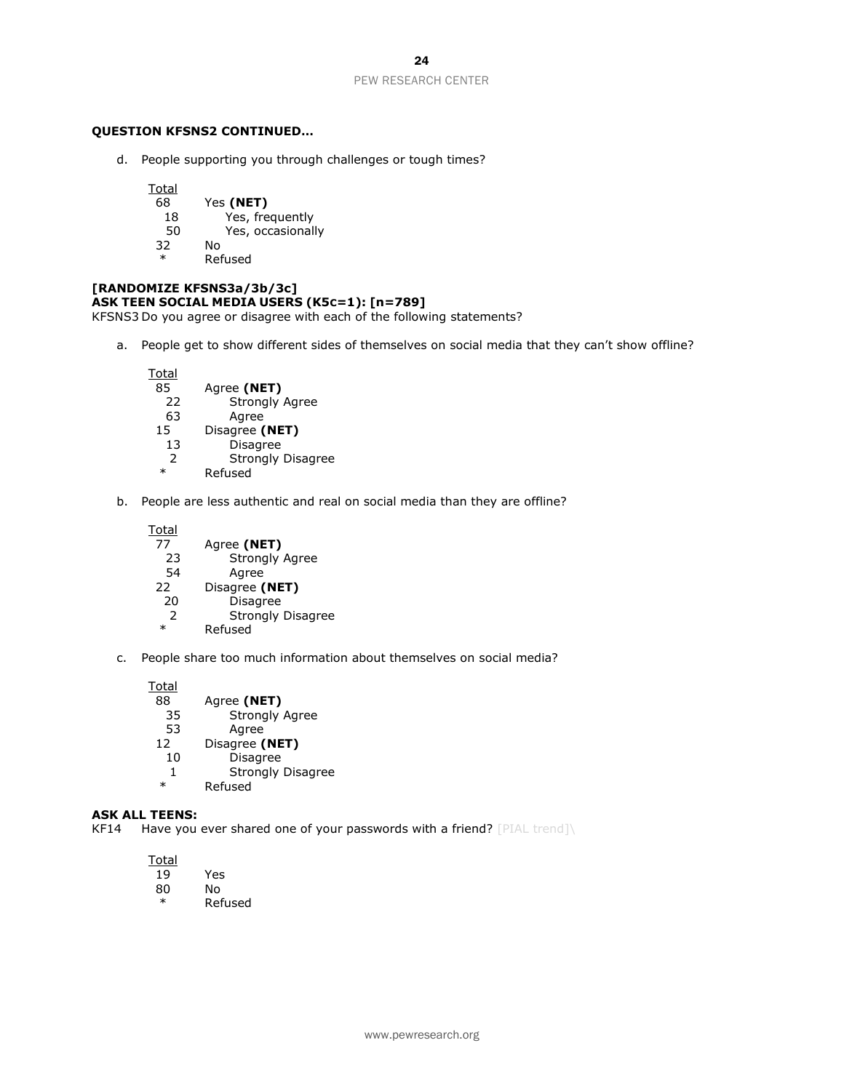#### **QUESTION KFSNS2 CONTINUED…**

d. People supporting you through challenges or tough times?

**Total** 68 Yes **(NET)** 18 Yes, frequently<br>50 Yes, occasionall Yes, occasionally 32 No \* Refused

# **[RANDOMIZE KFSNS3a/3b/3c] ASK TEEN SOCIAL MEDIA USERS (K5C=1): [n=789]**

KFSNS3 Do you agree or disagree with each of the following statements?

a. People get to show different sides of themselves on social media that they can't show offline?

| Total         |                          |
|---------------|--------------------------|
| 85            | Agree (NET)              |
| 22            | <b>Strongly Agree</b>    |
| 63            | Agree                    |
| 15            | Disagree (NET)           |
| 13            | <b>Disagree</b>          |
| $\mathcal{P}$ | <b>Strongly Disagree</b> |
| $\ast$        | Refused                  |
|               |                          |

b. People are less authentic and real on social media than they are offline?

| Total  |                          |
|--------|--------------------------|
| 77     | Agree (NET)              |
| 23     | <b>Strongly Agree</b>    |
| 54     | Agree                    |
| 22     | Disagree (NET)           |
| 20     | <b>Disagree</b>          |
|        | <b>Strongly Disagree</b> |
| $\ast$ | Refused                  |

c. People share too much information about themselves on social media?

Total<br>88

| 88     | Agree (NET)              |
|--------|--------------------------|
| 35     | <b>Strongly Agree</b>    |
| 53     | Agree                    |
| 12     | Disagree (NET)           |
| 10     | <b>Disagree</b>          |
| 1      | <b>Strongly Disagree</b> |
| $\ast$ | Refused                  |
|        |                          |

#### **ASK ALL TEENS:**

KF14 Have you ever shared one of your passwords with a friend? [PIAL trend]\

| <u>Total</u> |     |
|--------------|-----|
| 19           | Yes |
| 80           | N٥  |
| $-1$         | -   |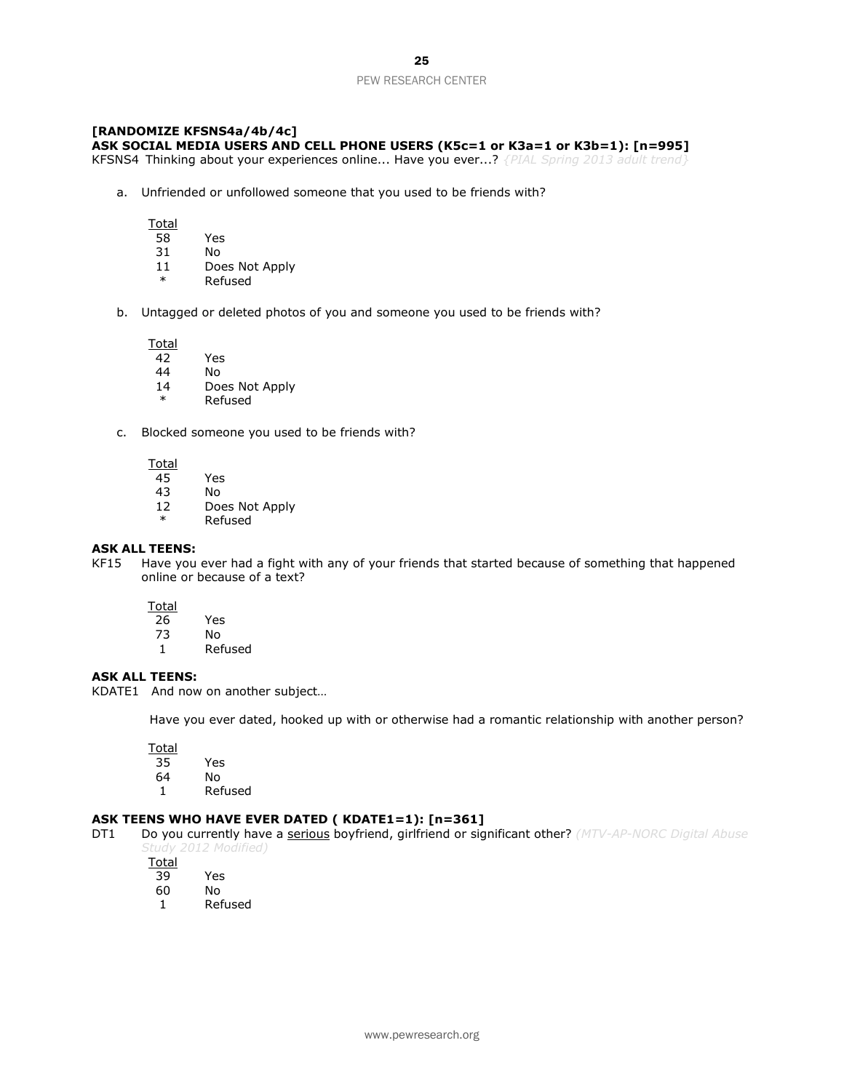#### **[RANDOMIZE KFSNS4a/4b/4c] ASK SOCIAL MEDIA USERS AND CELL PHONE USERS (K5c=1 or K3a=1 or K3b=1): [n=995]**

KFSNS4 Thinking about your experiences online... Have you ever...? *{PIAL Spring 2013 adult trend}*

a. Unfriended or unfollowed someone that you used to be friends with?

Total

- 58 Yes
- 31 No
- 11 Does Not Apply
- \* Refused
- b. Untagged or deleted photos of you and someone you used to be friends with?

Total

- 42 Yes
- 44 No
- 14 Does Not Apply
- **Refused**
- c. Blocked someone you used to be friends with?

**Total** 

- 45 Yes
- 43 No
- 12 Does Not Apply
- \* Refused

#### **ASK ALL TEENS:**

KF15 Have you ever had a fight with any of your friends that started because of something that happened online or because of a text?

**Total** 

- 26 Yes
- 73 No
- 1 Refused

#### **ASK ALL TEENS:**

KDATE1 And now on another subject…

Have you ever dated, hooked up with or otherwise had a romantic relationship with another person?

**Total** 

- 35 Yes
- N<sub>o</sub>
- 1 Refused

#### **ASK TEENS WHO HAVE EVER DATED ( KDATE1=1): [n=361]**

DT1 Do you currently have a serious boyfriend, girlfriend or significant other? *(MTV-AP-NORC Digital Abuse Study 2012 Modified)* 

- 39 Yes
- 60 No
- 1 Refused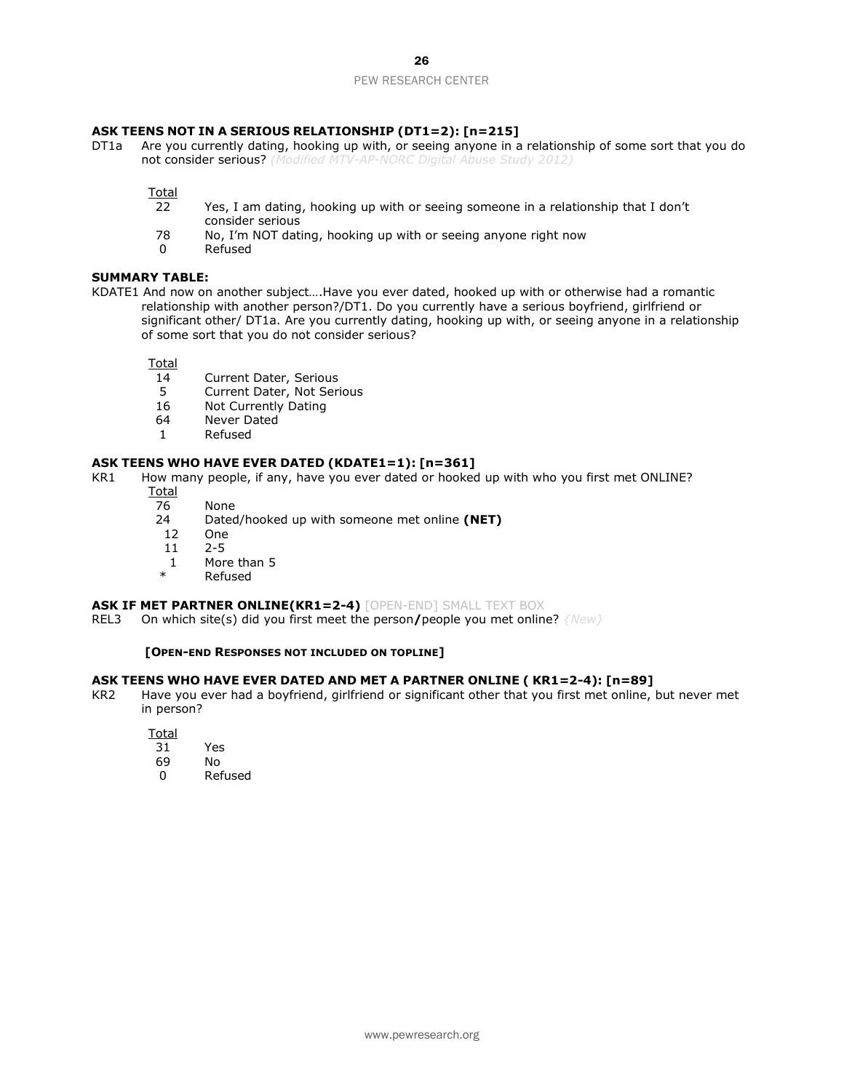#### **ASK TEENS NOT IN A SERIOUS RELATIONSHIP (DT1=2): [n=215]**

DT1a Are you currently dating, hooking up with, or seeing anyone in a relationship of some sort that you do not consider serious? *(Modified MTV-AP-NORC Digital Abuse Study 2012)*

Total

- 22 Yes, I am dating, hooking up with or seeing someone in a relationship that I don't consider serious
- 78 No, I'm NOT dating, hooking up with or seeing anyone right now
- 0 Refused

#### **SUMMARY TABLE:**

KDATE1 And now on another subject….Have you ever dated, hooked up with or otherwise had a romantic relationship with another person?/DT1. Do you currently have a serious boyfriend, girlfriend or significant other/ DT1a. Are you currently dating, hooking up with, or seeing anyone in a relationship of some sort that you do not consider serious?

**Total** 

- 14 Current Dater, Serious<br>5 Current Dater. Not Seri
- 5 Current Dater, Not Serious<br>16 Not Currently Dating
- 16 Not Currently Dating<br>64 Never Dated
- Never Dated
- 1 Refused

#### **ASK TEENS WHO HAVE EVER DATED (KDATE1=1): [n=361]**

- KR1 How many people, if any, have you ever dated or hooked up with who you first met ONLINE?
	- Total
	- 76 None
	- 24 Dated/hooked up with someone met online **(NET)**
	- 12 One
	- 11 2-5
	- 1 More than 5
	- Refused

#### **ASK IF MET PARTNER ONLINE(KR1=2-4)** [OPEN-END] SMALL TEXT BOX

REL3 On which site(s) did you first meet the person**/**people you met online? *{New}*

#### **[OPEN-END RESPONSES NOT INCLUDED ON TOPLINE]**

#### **ASK TEENS WHO HAVE EVER DATED AND MET A PARTNER ONLINE ( KR1=2-4): [n=89]**

KR2 Have you ever had a boyfriend, girlfriend or significant other that you first met online, but never met in person?

- 31 Yes
- 69 No
- 0 Refused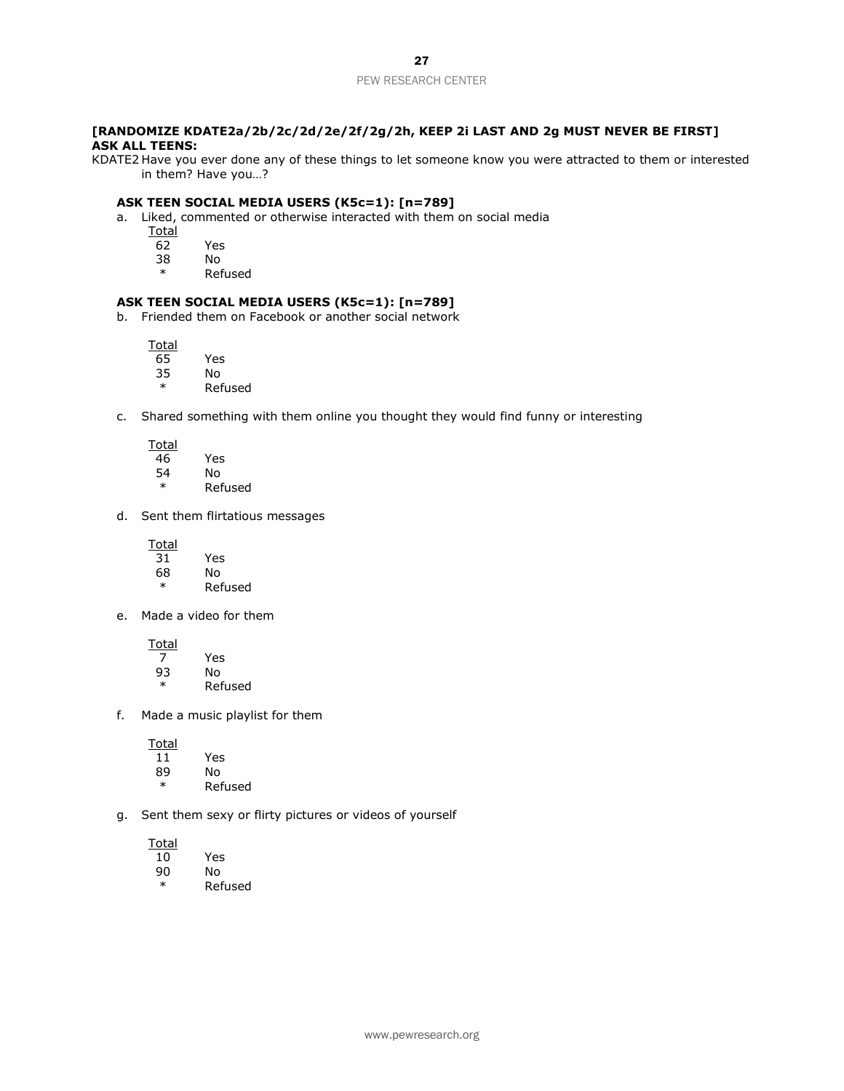#### **[RANDOMIZE KDATE2a/2b/2c/2d/2e/2f/2g/2h, KEEP 2i LAST AND 2g MUST NEVER BE FIRST] ASK ALL TEENS:**

KDATE2 Have you ever done any of these things to let someone know you were attracted to them or interested in them? Have you…?

#### **ASK TEEN SOCIAL MEDIA USERS (K5c=1): [n=789]**

a. Liked, commented or otherwise interacted with them on social media

- **Total**
- 62 Yes
- 38 No
	- **Refused**

#### **ASK TEEN SOCIAL MEDIA USERS (K5c=1): [n=789]**

b. Friended them on Facebook or another social network

Total

- 65 Yes 35 No
- \* Refused
- c. Shared something with them online you thought they would find funny or interesting
	- **Total** 46 Yes 54 No \* Refused
- d. Sent them flirtatious messages

**Total** 

| 31 | Yes     |
|----|---------|
| 68 | N٥      |
| ж  | Refused |

e. Made a video for them

**Total** 7 Yes 93 No

- \* Refused
- f. Made a music playlist for them

**Total** 

- 11 Yes
- No
- \* Refused
- g. Sent them sexy or flirty pictures or videos of yourself

- 90 No
- \* Refused

Yes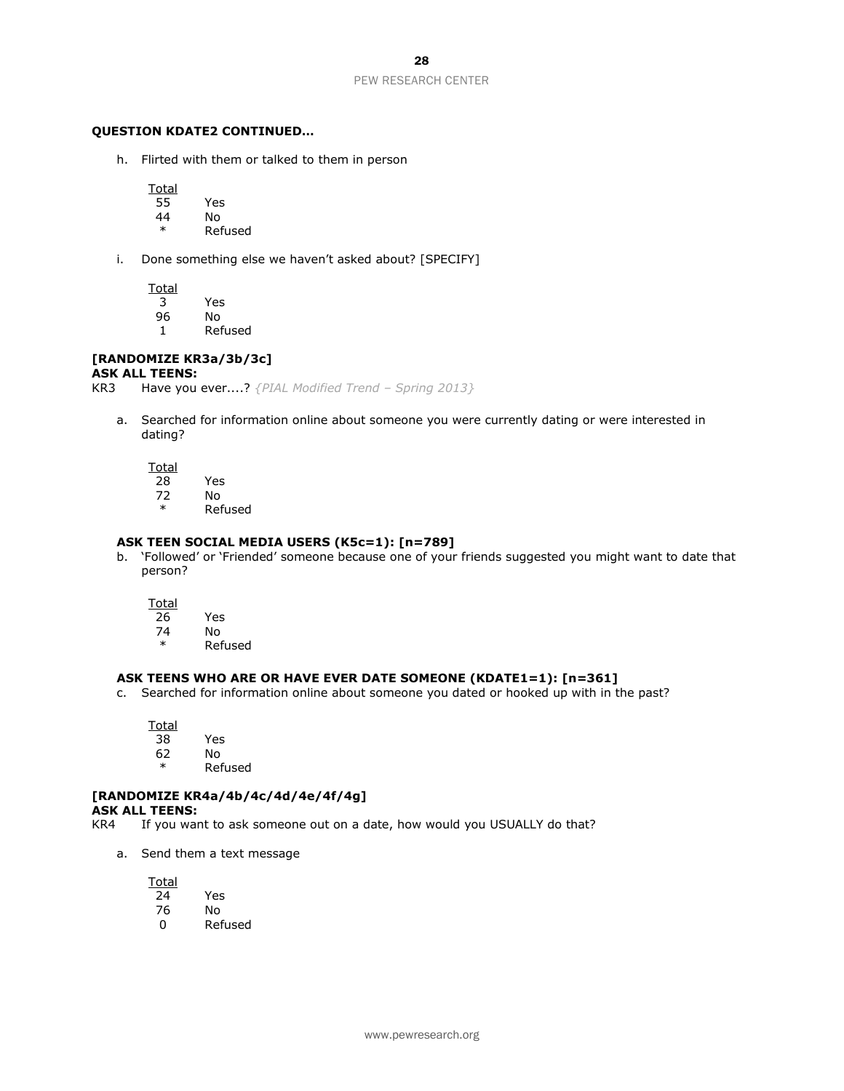#### **QUESTION KDATE2 CONTINUED…**

h. Flirted with them or talked to them in person

**Total** 

- 55 Yes
- 44 No
	- **Refused**
- i. Done something else we haven't asked about? [SPECIFY]

Total<br>3 96 No

1 Refused

**Yes** 

#### **[RANDOMIZE KR3a/3b/3c]**

#### **ASK ALL TEENS:**

KR3 Have you ever....? *{PIAL Modified Trend – Spring 2013}*

a. Searched for information online about someone you were currently dating or were interested in dating?

Total

28 Yes

- 72 No
- \* Refused

#### **ASK TEEN SOCIAL MEDIA USERS (K5c=1): [n=789]**

b. 'Followed' or 'Friended' someone because one of your friends suggested you might want to date that person?

Total

| 26 | Yes |
|----|-----|
| 74 | No  |

**Refused** 

#### **ASK TEENS WHO ARE OR HAVE EVER DATE SOMEONE (KDATE1=1): [n=361]**

c. Searched for information online about someone you dated or hooked up with in the past?

**Total** 38 Yes 62 No \* Refused

#### **[RANDOMIZE KR4a/4b/4c/4d/4e/4f/4g] ASK ALL TEENS:**

- KR4 If you want to ask someone out on a date, how would you USUALLY do that?
	- a. Send them a text message

**Total** 24 Yes 76 No<br>0 Ref

**Refused**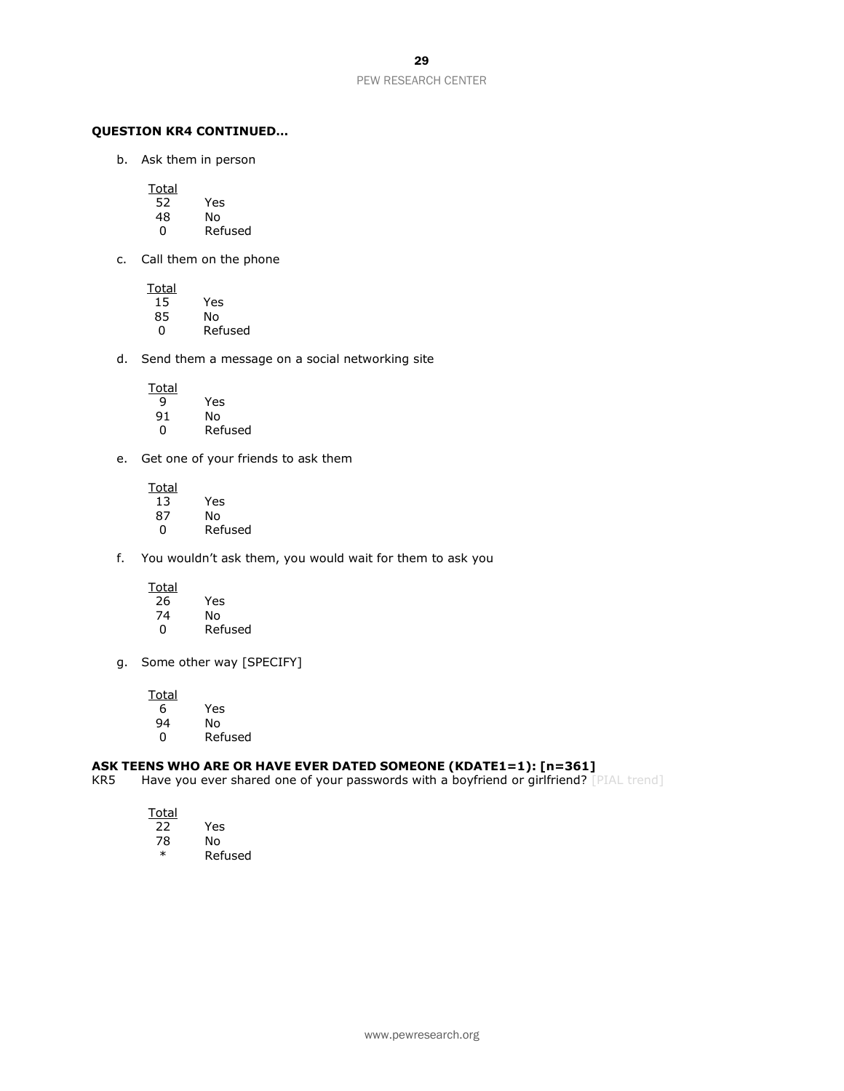#### **QUESTION KR4 CONTINUED…**

b. Ask them in person

**Total** 

- 52 Yes
- 48 No
- 0 Refused
- c. Call them on the phone

 $\frac{Total}{15}$ Yes 85 No 0 Refused

d. Send them a message on a social networking site

Total<br>9

- $\overline{9}$  Yes<br>91 No
- 91 No **Refused**
- e. Get one of your friends to ask them
	- **Total** 13 Yes No. 0 Refused
- f. You wouldn't ask them, you would wait for them to ask you
	- Total<br>26
	- 26 Yes<br>74 No 74 No
	- 0 Refused
- g. Some other way [SPECIFY]

**Total** 6 Yes

94 No **Refused** 

# **ASK TEENS WHO ARE OR HAVE EVER DATED SOMEONE (KDATE1=1): [n=361]<br>KR5 Have you ever shared one of your passwords with a boyfriend or girlfriend? [1]**

Have you ever shared one of your passwords with a boyfriend or girlfriend? [PIAL trend]

- 22 Yes
- 78 No<br>\* Pof **Refused**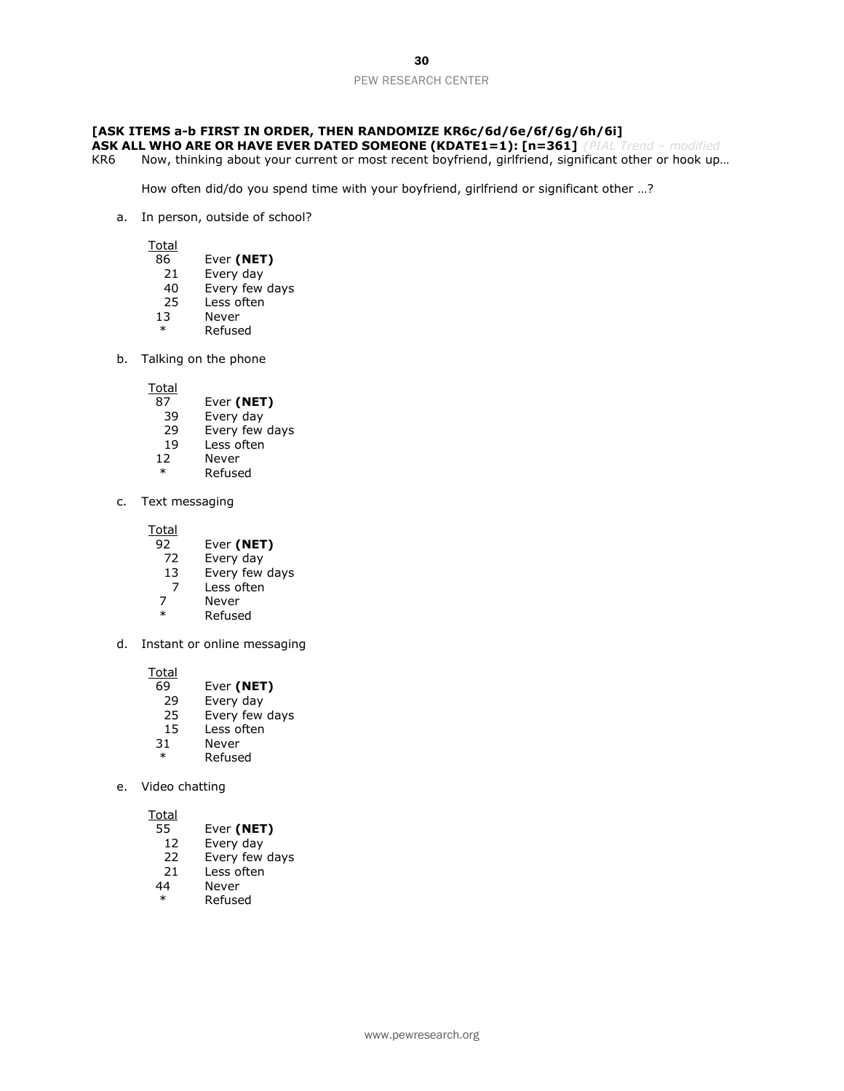#### **[ASK ITEMS a-b FIRST IN ORDER, THEN RANDOMIZE KR6c/6d/6e/6f/6g/6h/6i]**

- **ASK ALL WHO ARE OR HAVE EVER DATED SOMEONE (KDATE1=1): [n=361]** *{PIAL Trend – modified*
- KR6 Now, thinking about your current or most recent boyfriend, girlfriend, significant other or hook up...

How often did/do you spend time with your boyfriend, girlfriend or significant other …?

a. In person, outside of school?

**Total** 

- 86 Ever **(NET)**
- 21 Every day<br>40 Every few
- 40 Every few days<br>25 Less often
- Less often
- 13 Never
- \* Refused
- b. Talking on the phone

**Total** 

- 87 Ever **(NET)**
- 39 Every day<br>29 Every few
- Every few days
- 19 Less often
- 12 Never
- \* Refused
- c. Text messaging

Total<br>92

- 92 Ever **(NET)**<br>72 Every day
- Every day
- 13 Every few days
- 7 Less often<br>7 Never
- 7 Never<br>\* Pefuse
- **Refused**
- d. Instant or online messaging

Total

- 69 Ever **(NET)**
- 29 Every day<br>25 Every few
- 25 Every few days<br>15 Less often
- 15 Less often<br>31 Never
- **Never**
- **Refused**
- e. Video chatting

- 55 Ever **(NET)**
- 12 Every day<br>22 Every few
- Every few days
- 21 Less often
- 44 Never
- Refused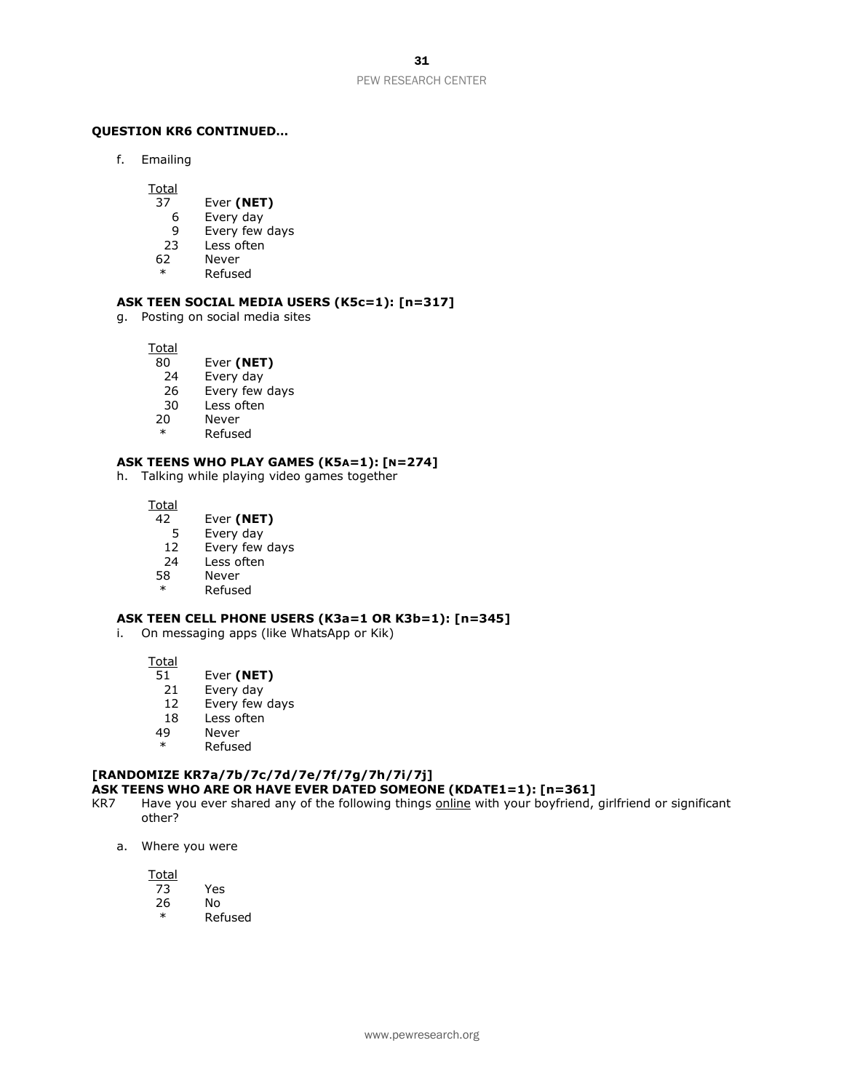#### **QUESTION KR6 CONTINUED…**

f. Emailing

**Total** 

- 37 Ever **(NET)**
- 6 Every day
- 9 Every few days
- 23 Less often
- 62 Never
- \* Refused

#### **ASK TEEN SOCIAL MEDIA USERS (K5c=1): [n=317]**

g. Posting on social media sites

Total<br>80

- Ever (NET)
- 24 Every day
- 26 Every few days
- 30 Less often
- 20 Never
- \* Refused

#### **ASK TEENS WHO PLAY GAMES (K5A=1): [N=274]**

h. Talking while playing video games together

**Total** 

- 42 Ever **(NET)**
- 5 Every day<br>12 Every few
- 12 Every few days<br>24 Less often
- Less often
- 58 Never
	- **Refused**

#### **ASK TEEN CELL PHONE USERS (K3a=1 OR K3b=1): [n=345]**

i. On messaging apps (like WhatsApp or Kik)

Total

- 51 Ever **(NET)**
- 21 Every day
- 12 Every few days
- 18 Less often<br>49 Never
- 
- 49 Never<br>\* Refuse **Refused**

#### **[RANDOMIZE KR7a/7b/7c/7d/7e/7f/7g/7h/7i/7j] ASK TEENS WHO ARE OR HAVE EVER DATED SOMEONE (KDATE1=1): [n=361]**

- KR7 Have you ever shared any of the following things online with your boyfriend, girlfriend or significant other?
	- a. Where you were

- 73 Yes
- 26 No
- **Refused**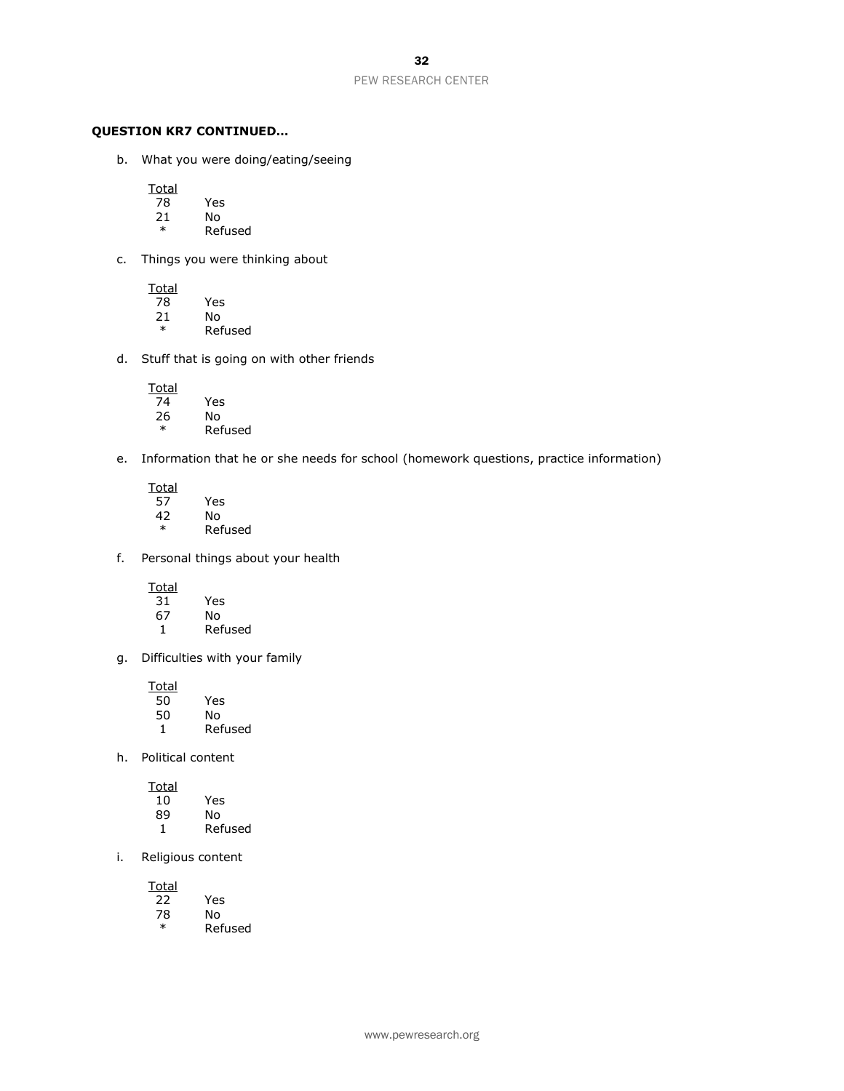#### **QUESTION KR7 CONTINUED…**

b. What you were doing/eating/seeing

Total<br>78

- 78 Yes
- 21 No<br>\* Ref
- **Refused**
- c. Things you were thinking about

Total<br>78 Yes 21 No

- \* Refused
- d. Stuff that is going on with other friends

Total<br>74  $\overline{74}$  Yes<br>26 No 26 No<br>\* Ref **Refused** 

- e. Information that he or she needs for school (homework questions, practice information)
	- **Total** 57 Yes  $42$  No<br>\* Ref **Refused**
- f. Personal things about your health

Total<br>31 31 Yes

- 67 No 1 Refused
- g. Difficulties with your family

Total<br>50 50 Yes 50 No 1 Refused

h. Political content

**Total** 10 Yes 89 No 1 Refused

i. Religious content

Total<br>22 22 Yes 78 No<br>\* Ref **Refused**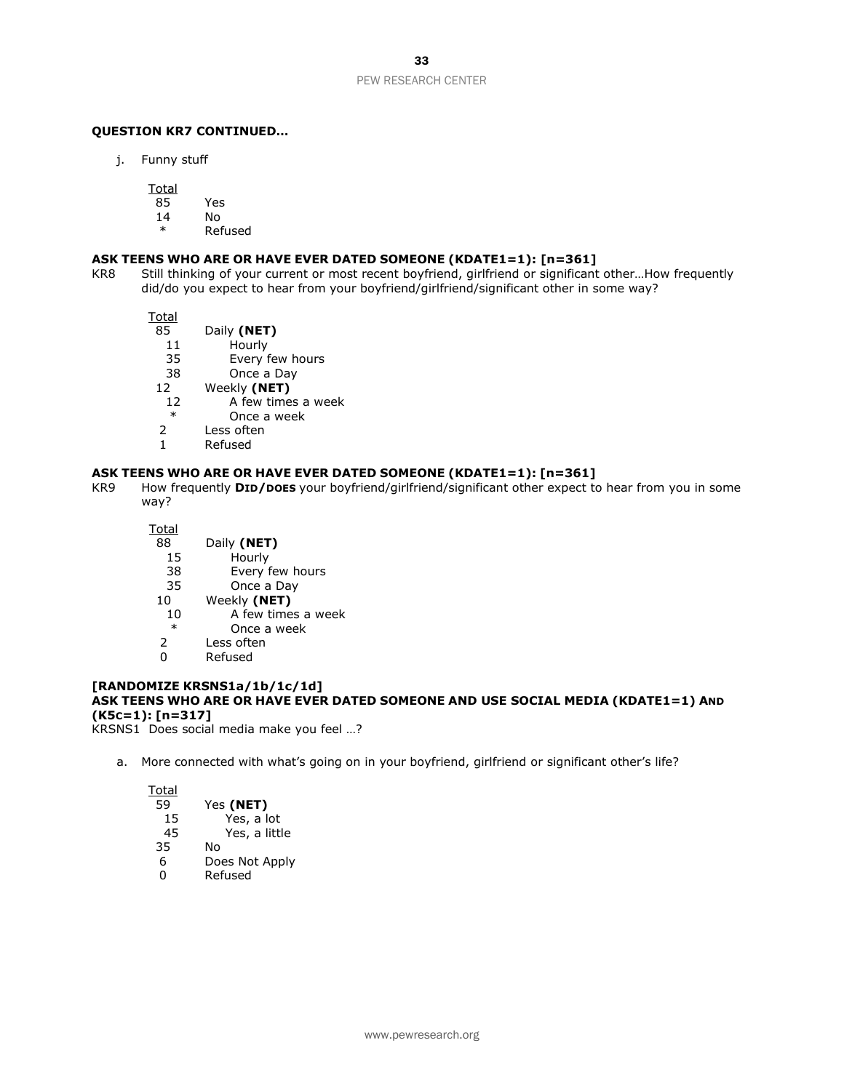#### **QUESTION KR7 CONTINUED…**

j. Funny stuff

**Total** 

- 85 Yes
- 14 No
	- **Refused**

#### **ASK TEENS WHO ARE OR HAVE EVER DATED SOMEONE (KDATE1=1): [n=361]**

KR8 Still thinking of your current or most recent boyfriend, girlfriend or significant other…How frequently did/do you expect to hear from your boyfriend/girlfriend/significant other in some way?

Total

- 85 Daily **(NET)**
	- 11 Hourly
- 35 Every few hours
- 38 Once a Day
- 12 Weekly **(NET)**
- 12 A few times a week
- \* Once a week
- Less often
- 1 Refused

#### **ASK TEENS WHO ARE OR HAVE EVER DATED SOMEONE (KDATE1=1): [n=361]**

KR9 How frequently **DID/DOES** your boyfriend/girlfriend/significant other expect to hear from you in some way?

Total

- 88 Daily **(NET)**
- 15 Hourly
- 38 Every few hours
- 35 Once a Day
- 10 Weekly **(NET)**
- 10 A few times a week
- \* Once a week
- 2 Less often
- 0 Refused

#### **[RANDOMIZE KRSNS1a/1b/1c/1d] ASK TEENS WHO ARE OR HAVE EVER DATED SOMEONE AND USE SOCIAL MEDIA (KDATE1=1) AND (K5C=1): [n=317]**

KRSNS1 Does social media make you feel …?

a. More connected with what's going on in your boyfriend, girlfriend or significant other's life?

| Total |                |
|-------|----------------|
| 59    | Yes (NET)      |
| 15    | Yes, a lot     |
| 45    | Yes, a little  |
| 35    | N٥             |
| 6     | Does Not Apply |
| 0     | Refused        |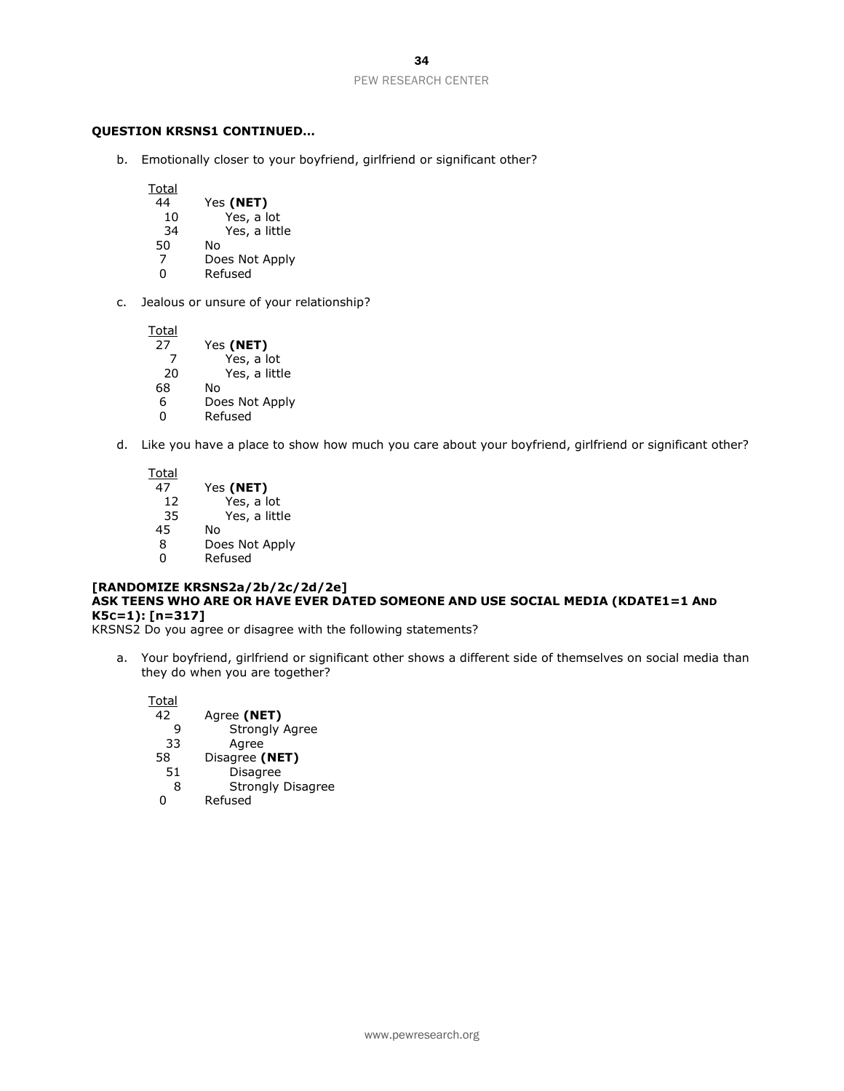#### **QUESTION KRSNS1 CONTINUED…**

b. Emotionally closer to your boyfriend, girlfriend or significant other?

**Total** 44 Yes **(NET)** 10 Yes, a lot<br>34 Yes, a littl Yes, a little 50 No 7 Does Not Apply<br>0 Refused **Refused** 

c. Jealous or unsure of your relationship?

Total 27 Yes **(NET)** Yes, a lot 20 Yes, a little 68 No 6 Does Not Apply **Refused** 

d. Like you have a place to show how much you care about your boyfriend, girlfriend or significant other?

Total 47 Yes **(NET)** 12 Yes, a lot 35 Yes, a little 45 No Does Not Apply 0 Refused

#### **[RANDOMIZE KRSNS2a/2b/2c/2d/2e] ASK TEENS WHO ARE OR HAVE EVER DATED SOMEONE AND USE SOCIAL MEDIA (KDATE1=1 AND K5C=1): [n=317]**

KRSNS2 Do you agree or disagree with the following statements?

a. Your boyfriend, girlfriend or significant other shows a different side of themselves on social media than they do when you are together?

**Total** 42 Agree **(NET)** 9 Strongly Agree<br>33 Agree **Agree** 58 Disagree **(NET) Disagree**  8 Strongly Disagree 0 Refused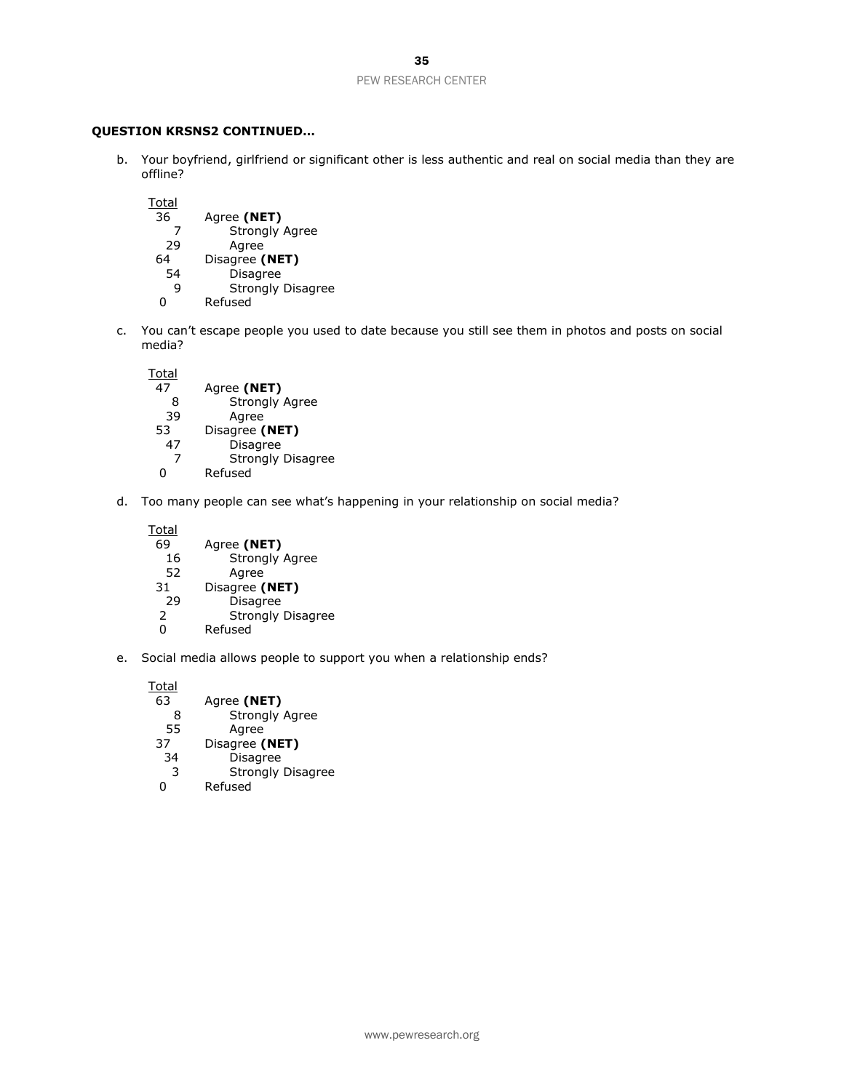#### **QUESTION KRSNS2 CONTINUED…**

- b. Your boyfriend, girlfriend or significant other is less authentic and real on social media than they are offline?
	- **Total**
	- 36 Agree **(NET)** Strongly Agree 29 Agree 64 Disagree **(NET) Disagree** 9 Strongly Disagree<br>0 Refused
	- **Refused**
- c. You can't escape people you used to date because you still see them in photos and posts on social media?
	- **Total** 47 Agree **(NET)** 8 Strongly Agree<br>39 Agree 39 Agree<br>53 Disagree ( 53 Disagree **(NET)** 47 Disagree 7 Strongly Disagree 0 Refused
- d. Too many people can see what's happening in your relationship on social media?
	- Total<br>69 Agree (NET) 16 Strongly Agree 52 Agree<br>31 Disagree ( 31 Disagree **(NET)**<br>29 Disagree 29 Disagree<br>2 Strongly Strongly Disagree 0 Refused
- e. Social media allows people to support you when a relationship ends?

Total 63 Agree **(NET)** 8 Strongly Agree<br>55 Agree Agree 37 Disagree **(NET)** 34 Disagree 3 Strongly Disagree<br>0 Refused **Refused**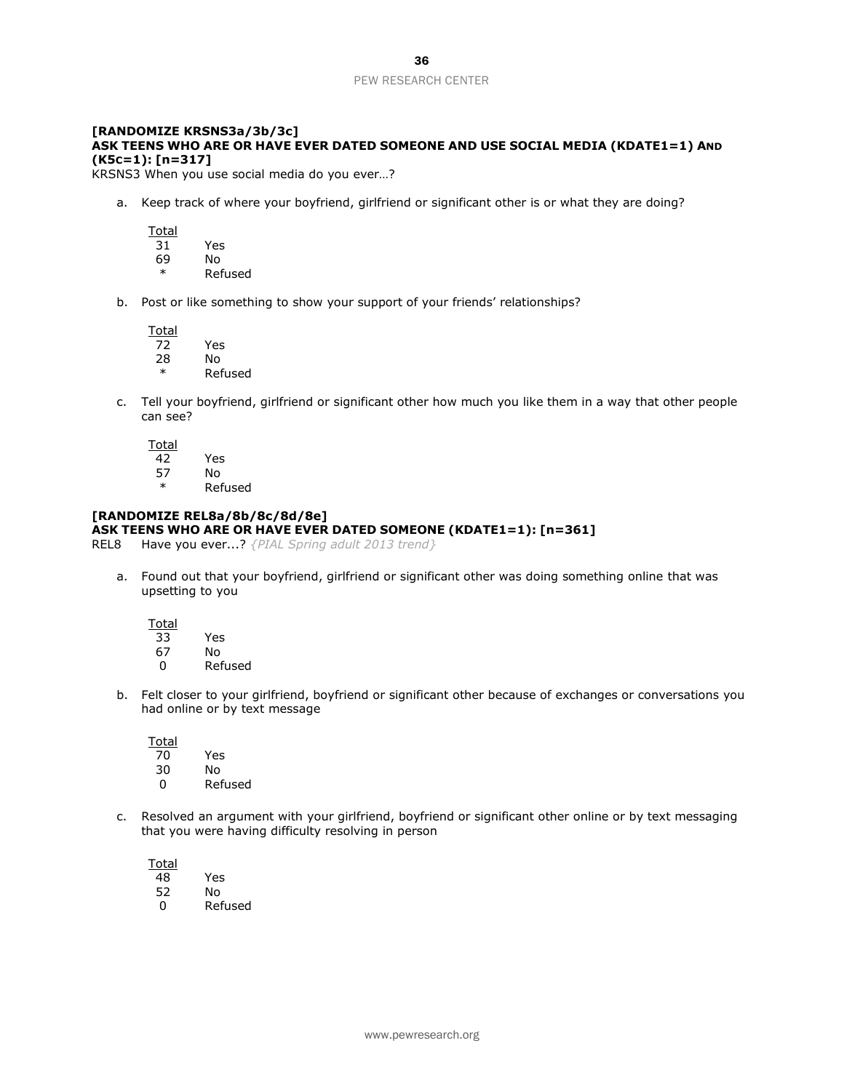#### **[RANDOMIZE KRSNS3a/3b/3c] ASK TEENS WHO ARE OR HAVE EVER DATED SOMEONE AND USE SOCIAL MEDIA (KDATE1=1) AND (K5C=1): [n=317]**

KRSNS3 When you use social media do you ever…?

a. Keep track of where your boyfriend, girlfriend or significant other is or what they are doing?

Total 31 Yes \* Refused

b. Post or like something to show your support of your friends' relationships?

Total 72 Yes 28 No

\* Refused

69 No

c. Tell your boyfriend, girlfriend or significant other how much you like them in a way that other people can see?

**Total** 42 Yes

57 No

\* Refused

### **[RANDOMIZE REL8a/8b/8c/8d/8e]**

#### **ASK TEENS WHO ARE OR HAVE EVER DATED SOMEONE (KDATE1=1): [n=361]**

REL8 Have you ever...? *{PIAL Spring adult 2013 trend}*

a. Found out that your boyfriend, girlfriend or significant other was doing something online that was upsetting to you

**Total** 

- 33 Yes
- 67 No 0 Refused
- b. Felt closer to your girlfriend, boyfriend or significant other because of exchanges or conversations you had online or by text message

**Total** 

| 70 | Yes     |
|----|---------|
| 30 | N٥      |
| O  | Refused |

c. Resolved an argument with your girlfriend, boyfriend or significant other online or by text messaging that you were having difficulty resolving in person

**Total** 48 Yes 52 No 0 Refused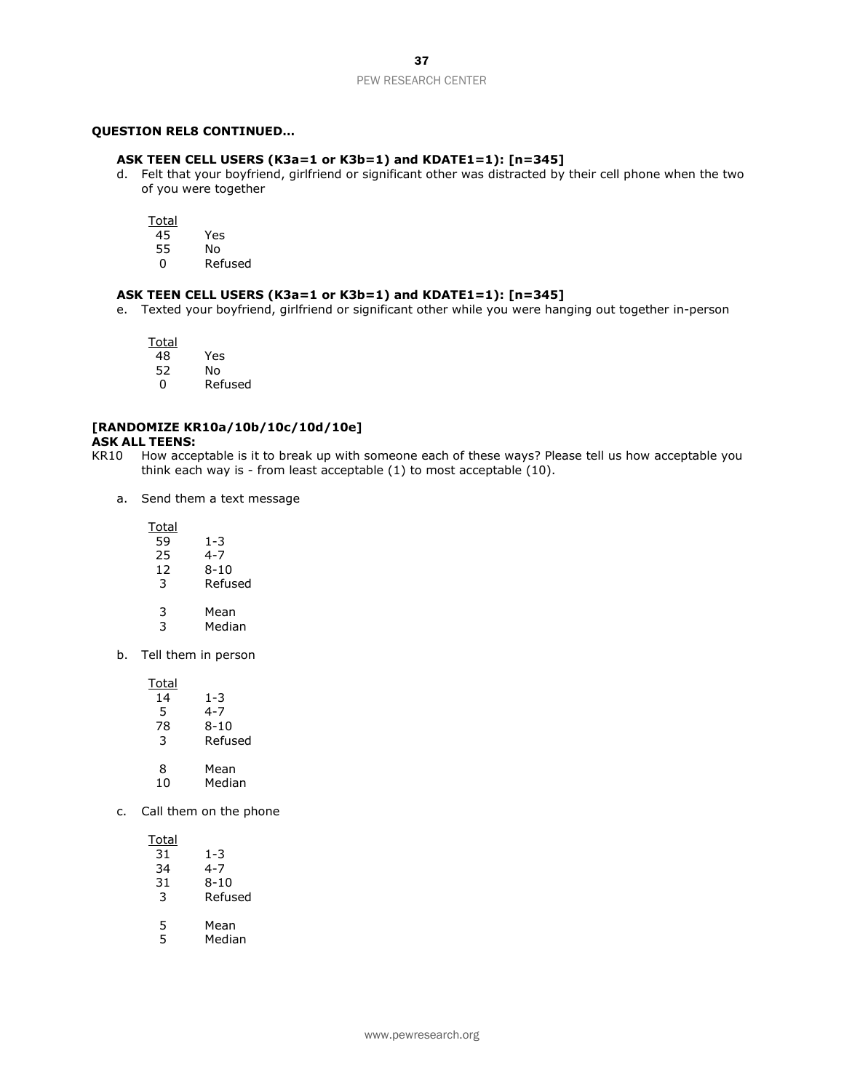#### **QUESTION REL8 CONTINUED…**

#### **ASK TEEN CELL USERS (K3a=1 or K3b=1) and KDATE1=1): [n=345]**

d. Felt that your boyfriend, girlfriend or significant other was distracted by their cell phone when the two of you were together

Total<br>45

45 Yes 55 No

0 Refused

#### **ASK TEEN CELL USERS (K3a=1 or K3b=1) and KDATE1=1): [n=345]**

e. Texted your boyfriend, girlfriend or significant other while you were hanging out together in-person

Total 48 Yes

52 No

0 Refused

### **[RANDOMIZE KR10a/10b/10c/10d/10e]**

#### **ASK ALL TEENS:**

- KR10 How acceptable is it to break up with someone each of these ways? Please tell us how acceptable you think each way is - from least acceptable (1) to most acceptable (10).
	- a. Send them a text message

Total 59 1-3  $4 - 7$ 12 8-10 3 Refused

- 3 Mean
- 3 Median
- b. Tell them in person

**Total** 

| 14 | 1-3     |
|----|---------|
| 5  | 4-7     |
| 78 | 8-10    |
| 3  | Refused |
|    |         |
| 8  | Mean    |
|    |         |

- 10 Median
- c. Call them on the phone

- 31 1-3 34 4-7 31 8-10 3 Refused
- 5 Mean
- 5 Median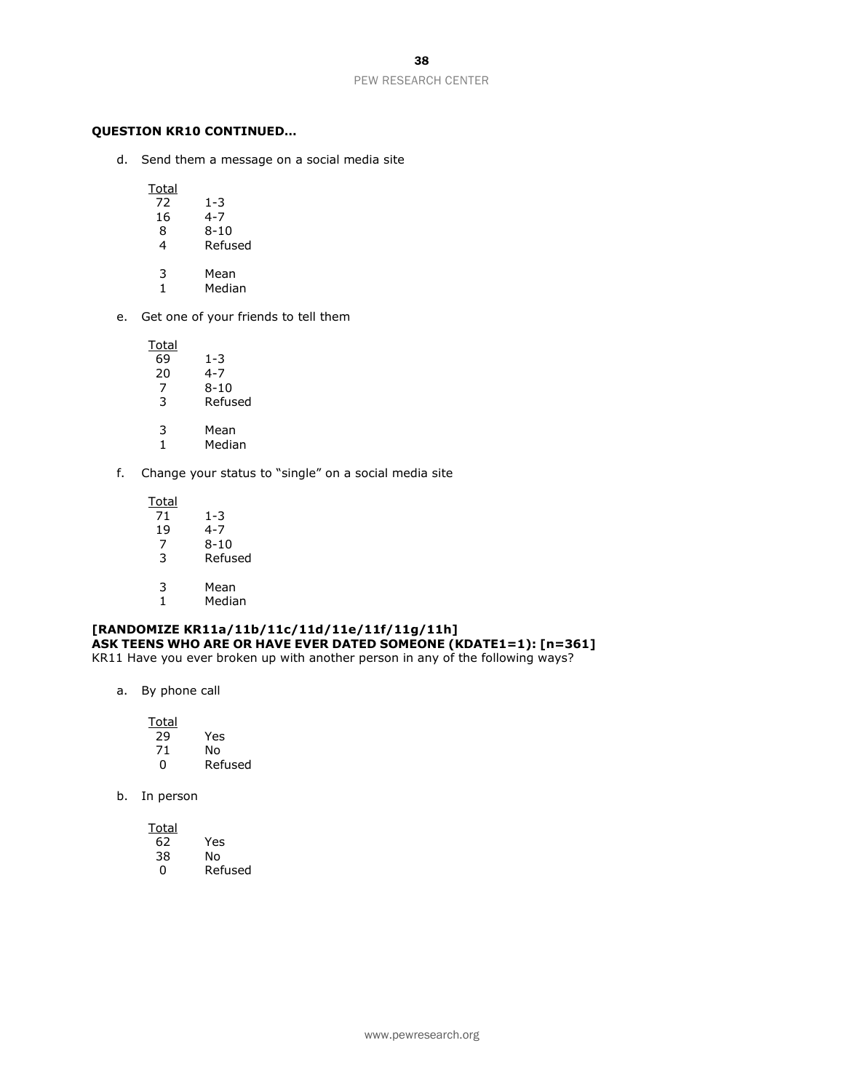#### **QUESTION KR10 CONTINUED…**

d. Send them a message on a social media site

Total<br>72

- $\begin{array}{@{}c@{\hspace{1em}}c@{\hspace{1em}}c@{\hspace{1em}}c@{\hspace{1em}}c@{\hspace{1em}}c@{\hspace{1em}}c@{\hspace{1em}}c@{\hspace{1em}}c@{\hspace{1em}}c@{\hspace{1em}}c@{\hspace{1em}}c@{\hspace{1em}}c@{\hspace{1em}}c@{\hspace{1em}}c@{\hspace{1em}}c@{\hspace{1em}}c@{\hspace{1em}}c@{\hspace{1em}}c@{\hspace{1em}}c@{\hspace{1em}}c@{\hspace{1em}}c@{\hspace{1em}}c@{\hspace{1em}}c@{\hspace{$  $4 - 7$
- 8 8-10 4 Refused
- 
- 3 Mean<br>1 Media
- **Median**
- e. Get one of your friends to tell them

Total

- 69 1-3
- $4 7$
- 7 8-10<br>3 Refus **Refused**
- 3 Mean
- 1 Median
- f. Change your status to "single" on a social media site

 $\frac{Total}{71}$  $\overline{71}$  1-3<br>19 4-7

- 19 4-7<br>7 8-10  $8 - 10$
- 3 Refused
- 
- 3 Mean<br>1 Media **Median**

# **[RANDOMIZE KR11a/11b/11c/11d/11e/11f/11g/11h] ASK TEENS WHO ARE OR HAVE EVER DATED SOMEONE (KDATE1=1): [n=361]**

KR11 Have you ever broken up with another person in any of the following ways?

a. By phone call

| Total |         |
|-------|---------|
| 29    | Yes     |
| 71    | N٥      |
| n     | Refused |

b. In person

| Total |         |
|-------|---------|
| 62    | Yes     |
| 38    | No      |
| O     | Refused |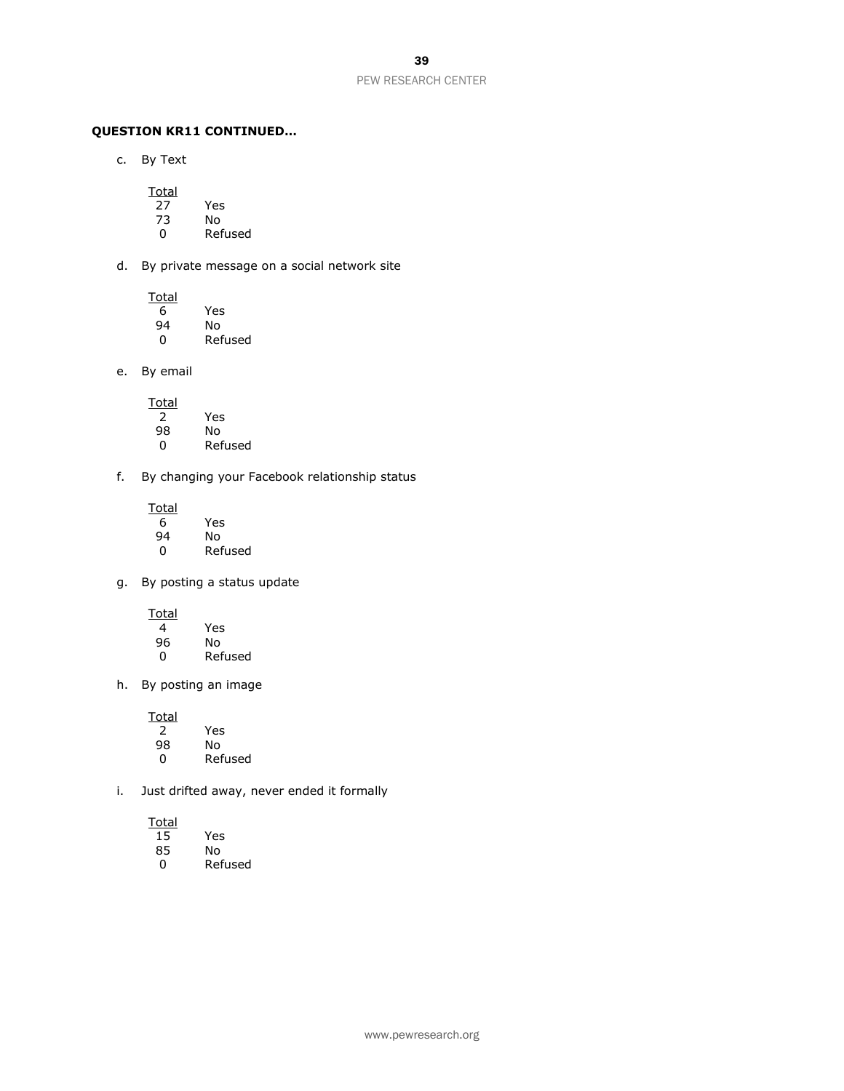# **QUESTION KR11 CONTINUED…**

c. By Text

- Total<br>27 27 Yes
- 73 No
- **Refused**
- d. By private message on a social network site

**Total** 6 Yes

94 No **Refused** 

e. By email

- Total 2 Yes 98 No **Refused**
- f. By changing your Facebook relationship status
	- **Total** 6 Yes 94 No 0 Refused

g. By posting a status update

**Total** 4 Yes 96 No 0 Refused

h. By posting an image

**Total** 2 Yes No. 0 Refused

i. Just drifted away, never ended it formally

| 15 | Yes     |
|----|---------|
| 85 | N٥      |
| O  | Refused |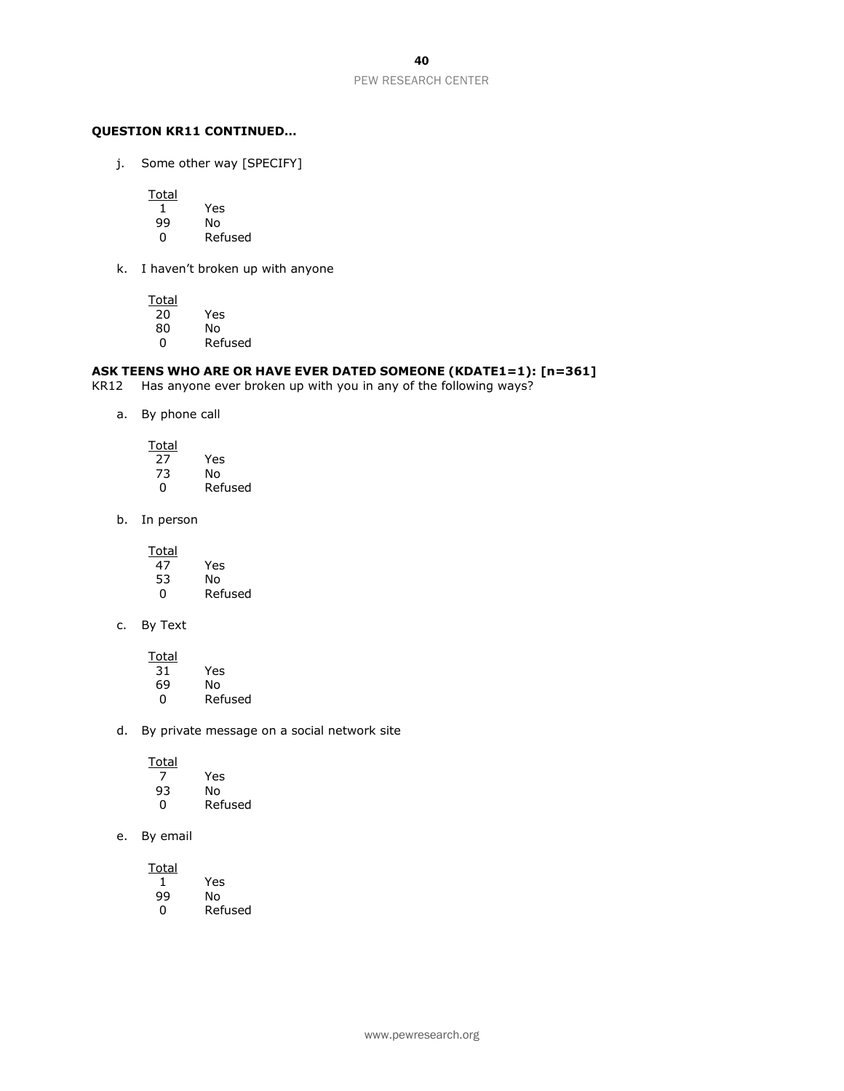#### **QUESTION KR11 CONTINUED…**

j. Some other way [SPECIFY]

**Total** 

1 Yes

- No
- 0 Refused
- k. I haven't broken up with anyone

Total<br>20

- $\overline{20}$  Yes<br>80 No
- 80 No **Refused**

### **ASK TEENS WHO ARE OR HAVE EVER DATED SOMEONE (KDATE1=1): [n=361]**

KR12 Has anyone ever broken up with you in any of the following ways?

a. By phone call

| Total |         |
|-------|---------|
| 27    | Yes     |
| 73    | N٥      |
| 0     | Refused |

b. In person

**Total** 

| 47 | Yes     |
|----|---------|
| 53 | N٥      |
| O  | Refused |

c. By Text

| Yes     |
|---------|
| N٥      |
| Refused |
|         |

d. By private message on a social network site

| Total |         |
|-------|---------|
|       | Yes     |
| 93    | N٥      |
| 0     | Refused |

e. By email

**Total** 1 Yes 99 No **Refused**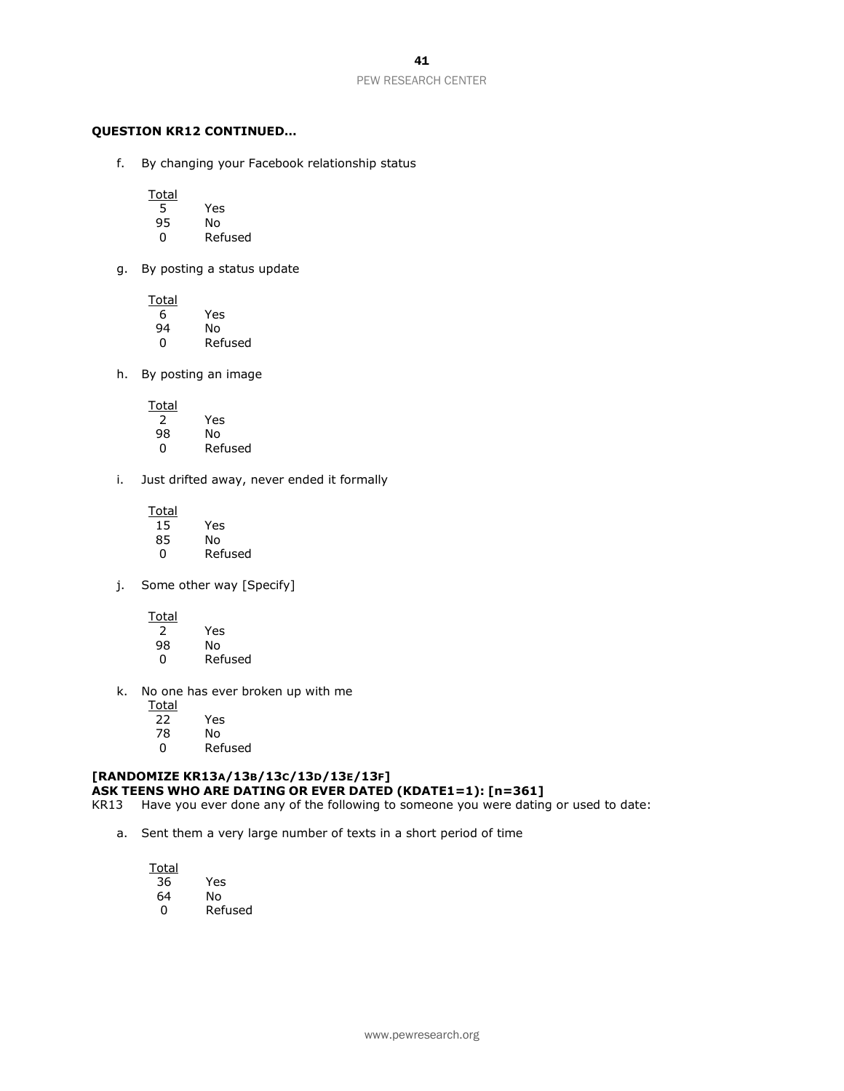#### **QUESTION KR12 CONTINUED…**

f. By changing your Facebook relationship status

Total<br>5

- 5 Yes
- 95 No
- 0 Refused
- g. By posting a status update

**Total** 

- $\begin{array}{c} 6 \ \hline 94 \ \hline \end{array}$  Yes 94 No **Refused**
- h. By posting an image

**Total** 2 Yes 98 No **Refused** 

- i. Just drifted away, never ended it formally
	- **Total** 15 Yes 85 No 0 Refused
- j. Some other way [Specify]

**Total** 

| 2  | Yes     |
|----|---------|
| 98 | N٥      |
| O  | Refused |

k. No one has ever broken up with me

**Total** 22 Yes

- 
- 78 No **Refused**

# **[RANDOMIZE KR13A/13B/13C/13D/13E/13F]**

- **ASK TEENS WHO ARE DATING OR EVER DATED (KDATE1=1): [n=361]**
- KR13 Have you ever done any of the following to someone you were dating or used to date:
	- a. Sent them a very large number of texts in a short period of time

| Total |         |
|-------|---------|
| 36    | Yes     |
| 64    | No      |
| n     | Refused |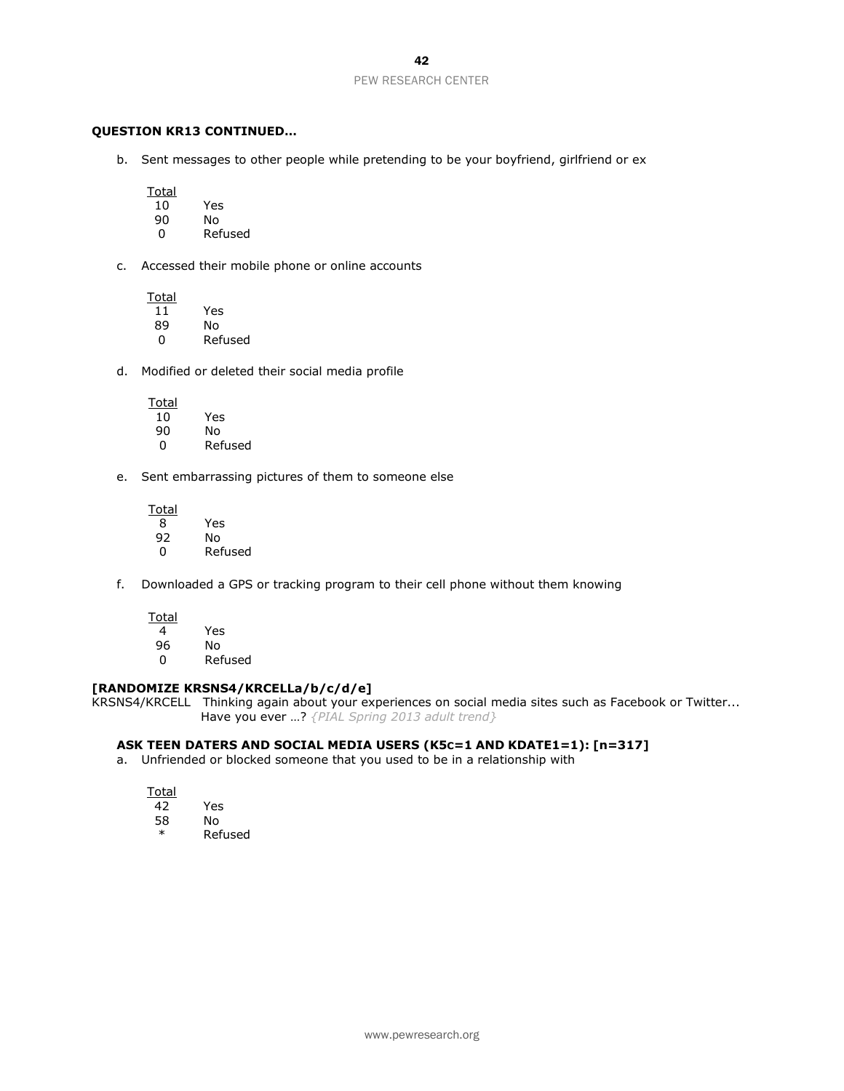#### **QUESTION KR13 CONTINUED…**

b. Sent messages to other people while pretending to be your boyfriend, girlfriend or ex

Total

| Yes |
|-----|
|     |

- 90 No
- **Refused**
- c. Accessed their mobile phone or online accounts

**Total** 11 Yes

- 89 No 0 Refused
- d. Modified or deleted their social media profile

**Total** 10 Yes 90 No 0 Refused

e. Sent embarrassing pictures of them to someone else

Total 8 Yes 92 No 0 Refused

f. Downloaded a GPS or tracking program to their cell phone without them knowing

**Total** 4 Yes

- 96 No
- 0 Refused

#### **[RANDOMIZE KRSNS4/KRCELLa/b/c/d/e]**

KRSNS4/KRCELL Thinking again about your experiences on social media sites such as Facebook or Twitter... Have you ever …? *{PIAL Spring 2013 adult trend}*

#### **ASK TEEN DATERS AND SOCIAL MEDIA USERS (K5C=1 AND KDATE1=1): [n=317]**

a. Unfriended or blocked someone that you used to be in a relationship with

| таі<br>O |  |
|----------|--|
| . )      |  |
| . .      |  |

58 No **Refused** 

Yes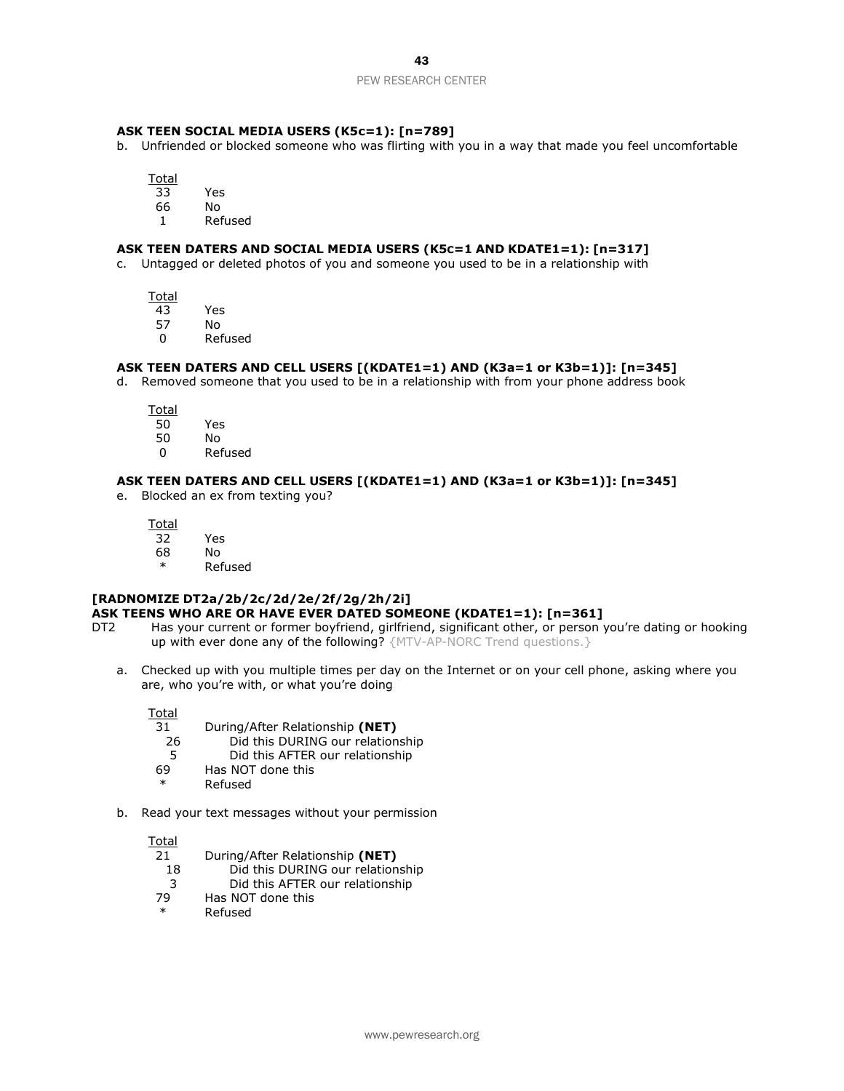#### **ASK TEEN SOCIAL MEDIA USERS (K5c=1): [n=789]**

- b. Unfriended or blocked someone who was flirting with you in a way that made you feel uncomfortable
	- Total
	- 33 Yes
	- 66 No
	- 1 Refused

#### **ASK TEEN DATERS AND SOCIAL MEDIA USERS (K5C=1 AND KDATE1=1): [n=317]**

c. Untagged or deleted photos of you and someone you used to be in a relationship with

**Total** 

- 43 Yes
- 57 No
- 0 Refused

#### **ASK TEEN DATERS AND CELL USERS [(KDATE1=1) AND (K3a=1 or K3b=1)]: [n=345]**

d. Removed someone that you used to be in a relationship with from your phone address book

Total<br>50

- Yes
- 50 No
- 0 Refused

### **ASK TEEN DATERS AND CELL USERS [(KDATE1=1) AND (K3a=1 or K3b=1)]: [n=345]**

e. Blocked an ex from texting you?

Total 32 Yes

- 68 No
	- \* Refused

# **[RADNOMIZE DT2a/2b/2c/2d/2e/2f/2g/2h/2i]**

- **ASK TEENS WHO ARE OR HAVE EVER DATED SOMEONE (KDATE1=1): [n=361]**
- DT2 Has your current or former boyfriend, girlfriend, significant other, or person you're dating or hooking up with ever done any of the following? {MTV-AP-NORC Trend questions.}
	- a. Checked up with you multiple times per day on the Internet or on your cell phone, asking where you are, who you're with, or what you're doing

Total

- 31 During/After Relationship **(NET)**
- 26 Did this DURING our relationship
- 5 Did this AFTER our relationship
- 69 Has NOT done this
- Refused
- b. Read your text messages without your permission

Total<br>21

- 21 During/After Relationship **(NET)**
- 18 Did this DURING our relationship
- 3 Did this AFTER our relationship
- 79 Has NOT done this
- \* Refused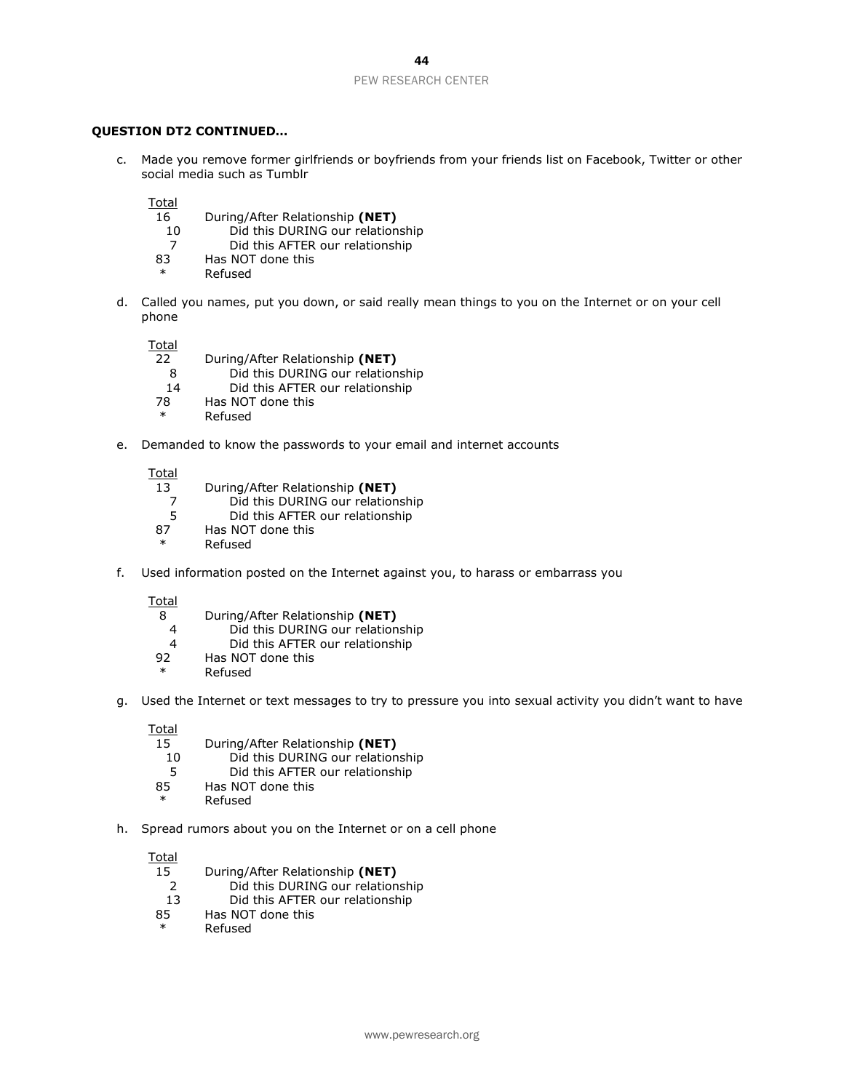#### **QUESTION DT2 CONTINUED…**

c. Made you remove former girlfriends or boyfriends from your friends list on Facebook, Twitter or other social media such as Tumblr

Total

- 16 During/After Relationship **(NET)**
	- 10 Did this DURING our relationship
	- 7 Did this AFTER our relationship
- 83 Has NOT done this
- **Refused**
- d. Called you names, put you down, or said really mean things to you on the Internet or on your cell phone

Total

- 22 During/After Relationship **(NET)**
- 8 Did this DURING our relationship
- 14 Did this AFTER our relationship
- 78 Has NOT done this
- **Refused**
- e. Demanded to know the passwords to your email and internet accounts

Total

- 13 During/After Relationship **(NET)**
	- 7 Did this DURING our relationship<br>5 Did this AFTER our relationship
- 5 Did this AFTER our relationship<br>87 Has NOT done this
- Has NOT done this
- **Refused**
- f. Used information posted on the Internet against you, to harass or embarrass you

Total

- 8 During/After Relationship **(NET)**
	- 4 Did this DURING our relationship
- 4 Did this AFTER our relationship<br>92 Has NOT done this
- Has NOT done this
- \* Refused
- g. Used the Internet or text messages to try to pressure you into sexual activity you didn't want to have

Total

- 15 During/After Relationship **(NET)**
	- 10 Did this DURING our relationship
	- 5 Did this AFTER our relationship
- 85 Has NOT done this
- **Refused**
- h. Spread rumors about you on the Internet or on a cell phone

- 15 During/After Relationship **(NET)**
	- 2 Did this DURING our relationship
- 13 Did this AFTER our relationship
- 85 Has NOT done this
- \* Refused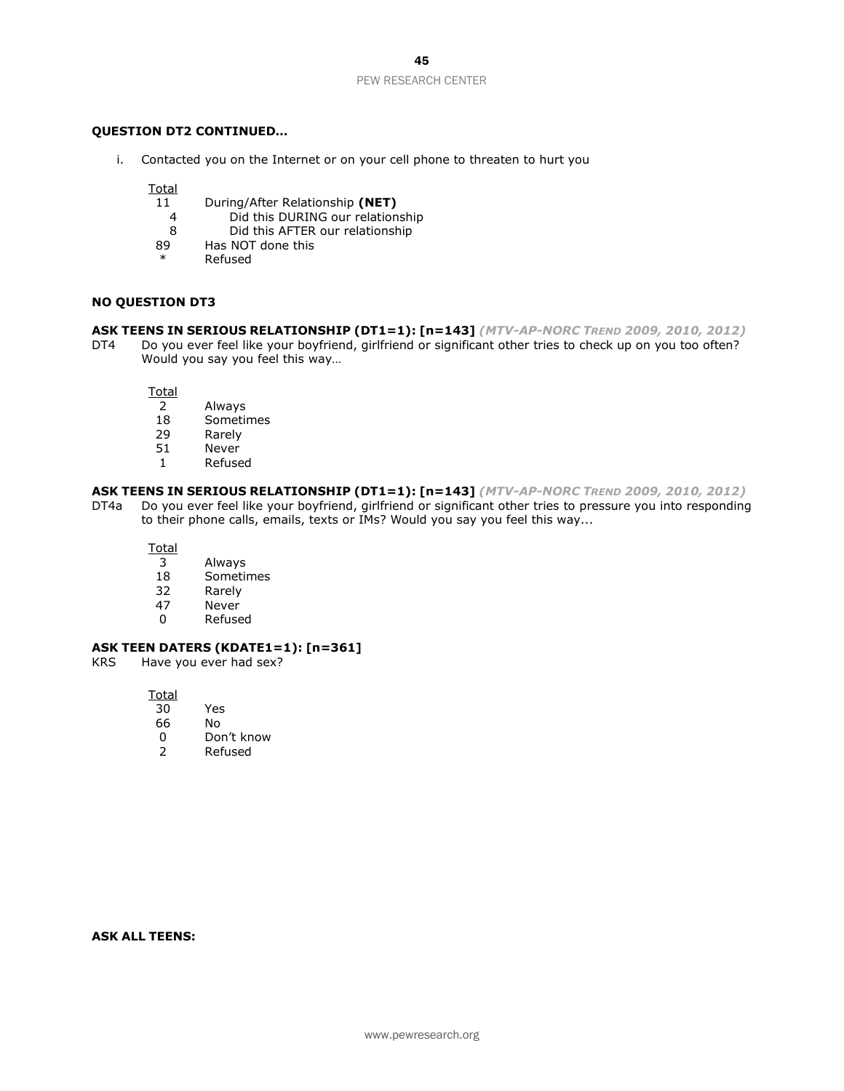#### **QUESTION DT2 CONTINUED…**

i. Contacted you on the Internet or on your cell phone to threaten to hurt you

**Total** 

- 11 During/After Relationship **(NET)**
	- 4 Did this DURING our relationship
	- 8 Did this AFTER our relationship
- 89 Has NOT done this
- **Refused**

#### **NO QUESTION DT3**

#### **ASK TEENS IN SERIOUS RELATIONSHIP (DT1=1): [n=143]** *(MTV-AP-NORC TREND 2009, 2010, 2012)*

DT4 Do you ever feel like your boyfriend, girlfriend or significant other tries to check up on you too often? Would you say you feel this way…

**Total** 

- 
- 2 Always **Sometimes**
- 29 Rarely<br>51 Never
- **Never**
- 1 Refused

#### **ASK TEENS IN SERIOUS RELATIONSHIP (DT1=1): [n=143]** *(MTV-AP-NORC TREND 2009, 2010, 2012)*

DT4a Do you ever feel like your boyfriend, girlfriend or significant other tries to pressure you into responding to their phone calls, emails, texts or IMs? Would you say you feel this way...

Total

- 3 Always
- 18 Sometimes<br>32 Rarely
- 32 Rarely<br>47 Never
- Never
- 0 Refused

#### **ASK TEEN DATERS (KDATE1=1): [n=361]**

KRS Have you ever had sex?

Total

- 30 Yes
- 66 No
- 0 Don't know
- 2 Refused

**ASK ALL TEENS:**